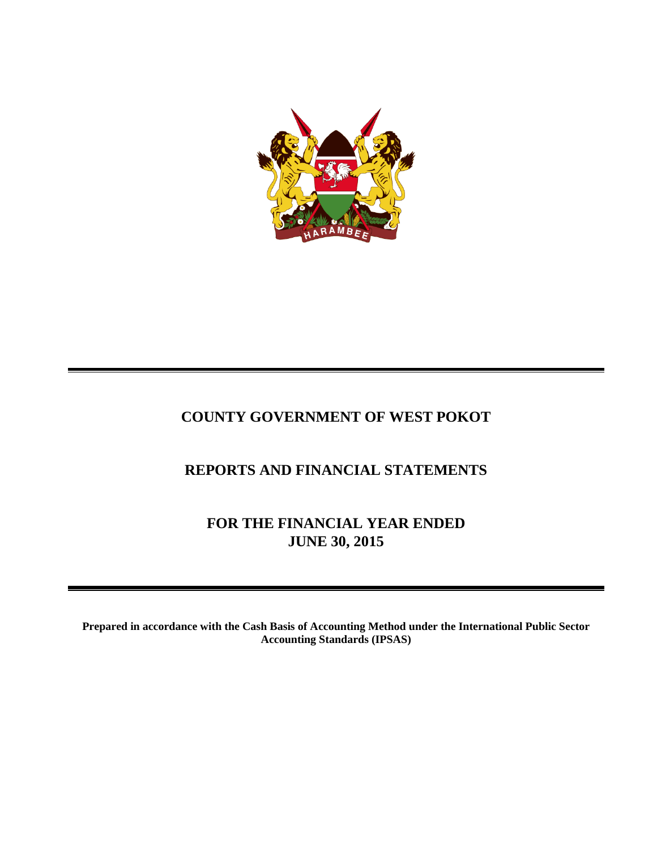

# **COUNTY GOVERNMENT OF WEST POKOT**

# **REPORTS AND FINANCIAL STATEMENTS**

**FOR THE FINANCIAL YEAR ENDED JUNE 30, 2015**

**Prepared in accordance with the Cash Basis of Accounting Method under the International Public Sector Accounting Standards (IPSAS)**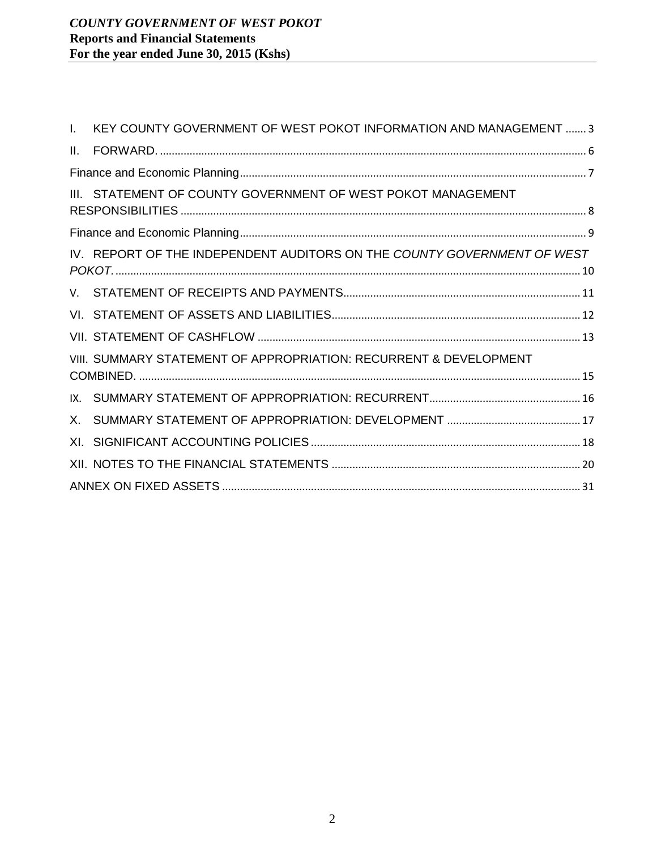|         | I. KEY COUNTY GOVERNMENT OF WEST POKOT INFORMATION AND MANAGEMENT  3    |  |
|---------|-------------------------------------------------------------------------|--|
| $\Pi$ . |                                                                         |  |
|         |                                                                         |  |
|         | III. STATEMENT OF COUNTY GOVERNMENT OF WEST POKOT MANAGEMENT            |  |
|         |                                                                         |  |
|         | IV. REPORT OF THE INDEPENDENT AUDITORS ON THE COUNTY GOVERNMENT OF WEST |  |
|         |                                                                         |  |
|         |                                                                         |  |
|         |                                                                         |  |
|         | VIII. SUMMARY STATEMENT OF APPROPRIATION: RECURRENT & DEVELOPMENT       |  |
|         |                                                                         |  |
|         |                                                                         |  |
|         |                                                                         |  |
|         |                                                                         |  |
|         |                                                                         |  |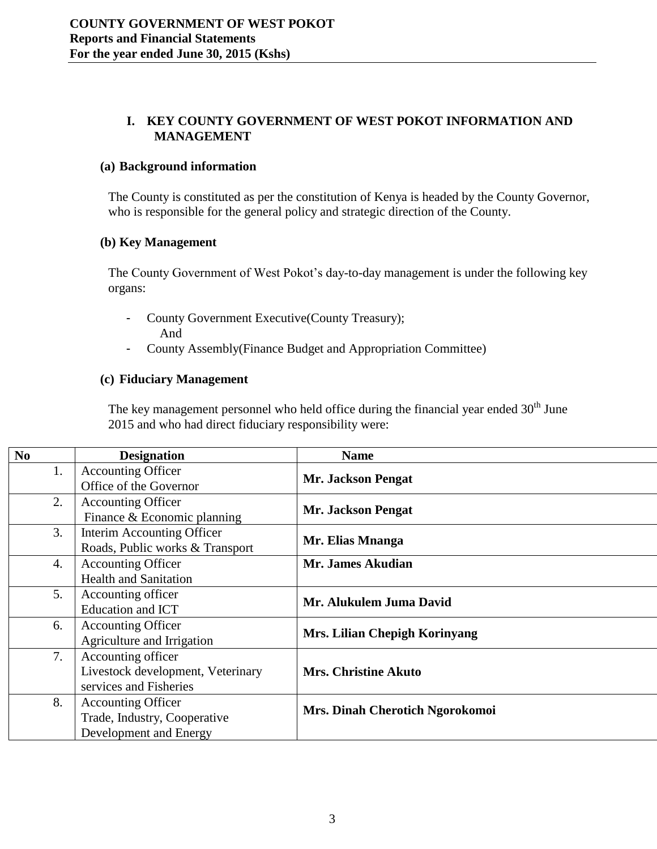# **I. KEY COUNTY GOVERNMENT OF WEST POKOT INFORMATION AND MANAGEMENT**

#### <span id="page-2-0"></span>**(a) Background information**

The County is constituted as per the constitution of Kenya is headed by the County Governor, who is responsible for the general policy and strategic direction of the County.

#### **(b) Key Management**

The County Government of West Pokot's day-to-day management is under the following key organs:

- County Government Executive(County Treasury); And
- County Assembly(Finance Budget and Appropriation Committee)

#### **(c) Fiduciary Management**

The key management personnel who held office during the financial year ended  $30<sup>th</sup>$  June 2015 and who had direct fiduciary responsibility were:

| N <sub>0</sub> | <b>Designation</b>                                                                  | <b>Name</b>                     |
|----------------|-------------------------------------------------------------------------------------|---------------------------------|
| 1.             | <b>Accounting Officer</b><br>Office of the Governor                                 | <b>Mr. Jackson Pengat</b>       |
| 2.             | <b>Accounting Officer</b><br>Finance & Economic planning                            | <b>Mr. Jackson Pengat</b>       |
| 3.             | Interim Accounting Officer<br>Roads, Public works & Transport                       | Mr. Elias Mnanga                |
| 4.             | <b>Accounting Officer</b><br><b>Health and Sanitation</b>                           | Mr. James Akudian               |
| 5.             | Accounting officer<br>Education and ICT                                             | Mr. Alukulem Juma David         |
| 6.             | <b>Accounting Officer</b><br>Agriculture and Irrigation                             | Mrs. Lilian Chepigh Korinyang   |
| 7.             | Accounting officer<br>Livestock development, Veterinary<br>services and Fisheries   | <b>Mrs. Christine Akuto</b>     |
| 8.             | <b>Accounting Officer</b><br>Trade, Industry, Cooperative<br>Development and Energy | Mrs. Dinah Cherotich Ngorokomoi |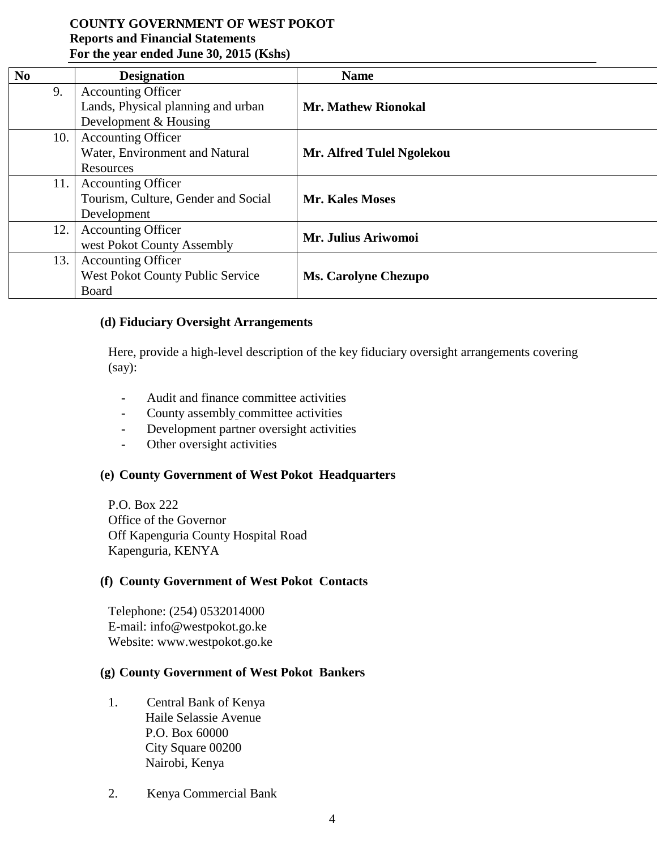| N <sub>0</sub> | <b>Designation</b>                  | <b>Name</b>                 |
|----------------|-------------------------------------|-----------------------------|
| 9.             | <b>Accounting Officer</b>           |                             |
|                | Lands, Physical planning and urban  | <b>Mr. Mathew Rionokal</b>  |
|                | Development & Housing               |                             |
| 10.            | <b>Accounting Officer</b>           |                             |
|                | Water, Environment and Natural      | Mr. Alfred Tulel Ngolekou   |
|                | Resources                           |                             |
| 11.            | <b>Accounting Officer</b>           |                             |
|                | Tourism, Culture, Gender and Social | <b>Mr. Kales Moses</b>      |
|                | Development                         |                             |
| 12.            | <b>Accounting Officer</b>           | Mr. Julius Ariwomoi         |
|                | west Pokot County Assembly          |                             |
| 13.            | <b>Accounting Officer</b>           |                             |
|                | West Pokot County Public Service    | <b>Ms. Carolyne Chezupo</b> |
|                | Board                               |                             |

#### **(d) Fiduciary Oversight Arrangements**

Here, provide a high-level description of the key fiduciary oversight arrangements covering (say):

- **-** Audit and finance committee activities
- **-** County assembly committee activities
- **-** Development partner oversight activities
- **-** Other oversight activities

#### **(e) County Government of West Pokot Headquarters**

P.O. Box 222 Office of the Governor Off Kapenguria County Hospital Road Kapenguria, KENYA

#### **(f) County Government of West Pokot Contacts**

Telephone: (254) 0532014000 E-mail: info@westpokot.go.ke Website: www.westpokot.go.ke

#### **(g) County Government of West Pokot Bankers**

- 1. Central Bank of Kenya Haile Selassie Avenue P.O. Box 60000 City Square 00200 Nairobi, Kenya
- 2. Kenya Commercial Bank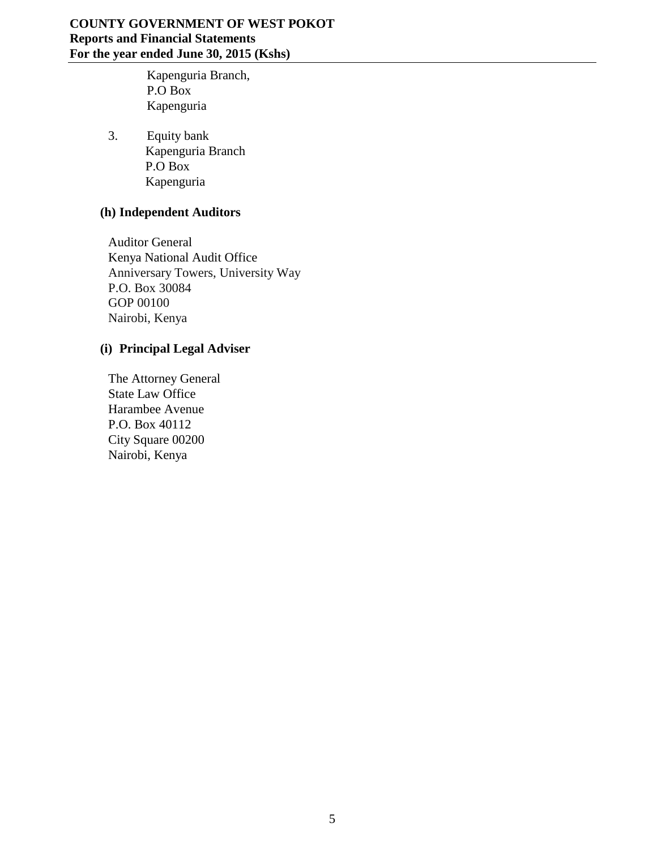Kapenguria Branch, P.O Box Kapenguria

3. Equity bank Kapenguria Branch P.O Box Kapenguria

# **(h) Independent Auditors**

Auditor General Kenya National Audit Office Anniversary Towers, University Way P.O. Box 30084 GOP 00100 Nairobi, Kenya

# **(i) Principal Legal Adviser**

The Attorney General State Law Office Harambee Avenue P.O. Box 40112 City Square 00200 Nairobi, Kenya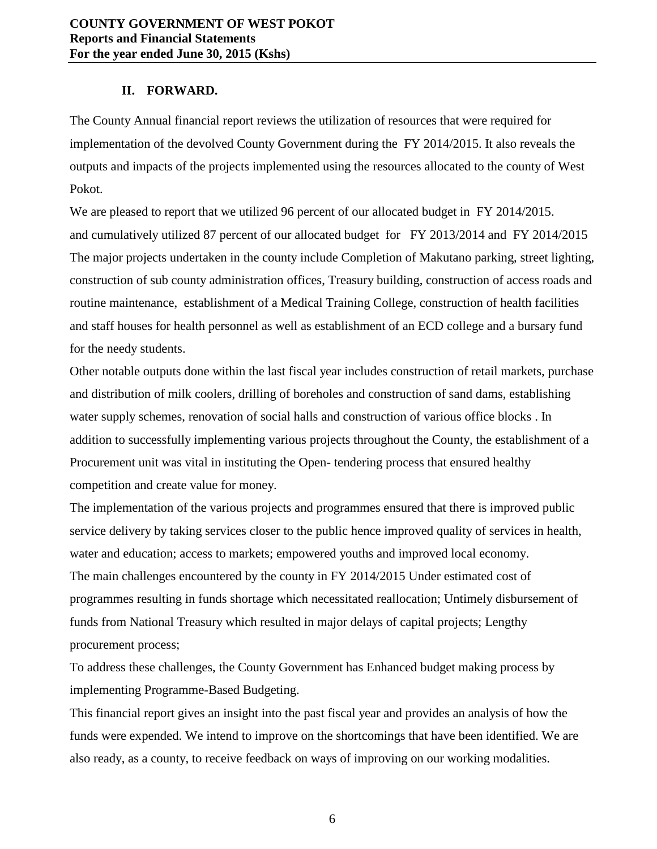#### **II. FORWARD.**

<span id="page-5-0"></span>The County Annual financial report reviews the utilization of resources that were required for implementation of the devolved County Government during the FY 2014/2015. It also reveals the outputs and impacts of the projects implemented using the resources allocated to the county of West Pokot.

We are pleased to report that we utilized 96 percent of our allocated budget in FY 2014/2015. and cumulatively utilized 87 percent of our allocated budget for FY 2013/2014 and FY 2014/2015 The major projects undertaken in the county include Completion of Makutano parking, street lighting, construction of sub county administration offices, Treasury building, construction of access roads and routine maintenance, establishment of a Medical Training College, construction of health facilities and staff houses for health personnel as well as establishment of an ECD college and a bursary fund for the needy students.

Other notable outputs done within the last fiscal year includes construction of retail markets, purchase and distribution of milk coolers, drilling of boreholes and construction of sand dams, establishing water supply schemes, renovation of social halls and construction of various office blocks . In addition to successfully implementing various projects throughout the County, the establishment of a Procurement unit was vital in instituting the Open- tendering process that ensured healthy competition and create value for money.

The implementation of the various projects and programmes ensured that there is improved public service delivery by taking services closer to the public hence improved quality of services in health, water and education; access to markets; empowered youths and improved local economy. The main challenges encountered by the county in FY 2014/2015 Under estimated cost of programmes resulting in funds shortage which necessitated reallocation; Untimely disbursement of funds from National Treasury which resulted in major delays of capital projects; Lengthy procurement process;

To address these challenges, the County Government has Enhanced budget making process by implementing Programme-Based Budgeting.

This financial report gives an insight into the past fiscal year and provides an analysis of how the funds were expended. We intend to improve on the shortcomings that have been identified. We are also ready, as a county, to receive feedback on ways of improving on our working modalities.

6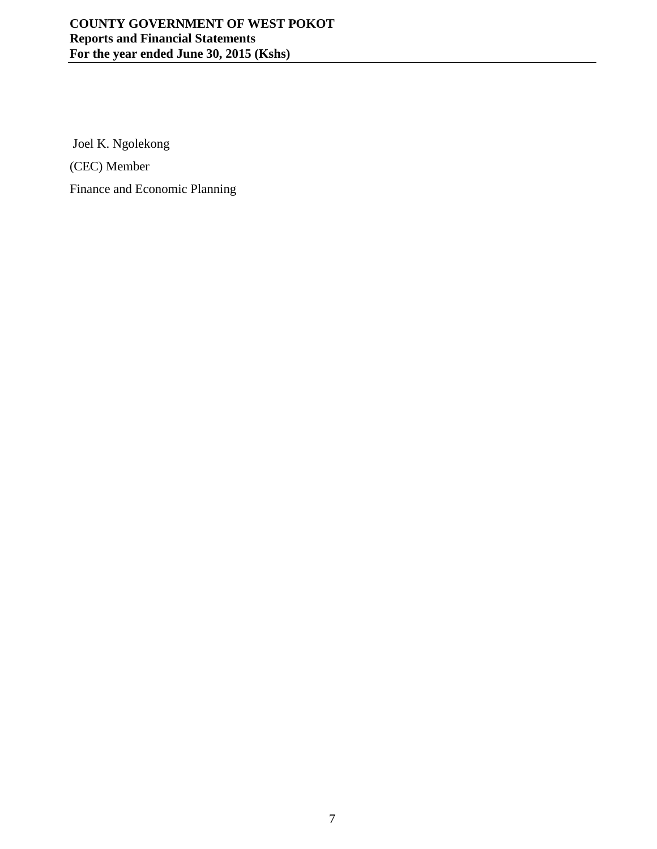<span id="page-6-0"></span>Joel K. Ngolekong (CEC) Member Finance and Economic Planning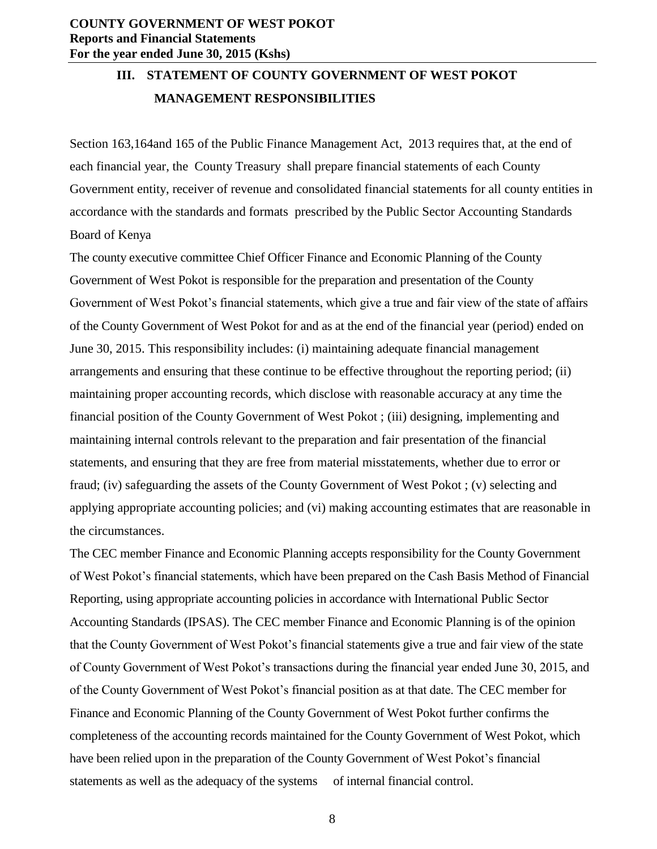# <span id="page-7-0"></span>**III. STATEMENT OF COUNTY GOVERNMENT OF WEST POKOT MANAGEMENT RESPONSIBILITIES**

Section 163,164and 165 of the Public Finance Management Act, 2013 requires that, at the end of each financial year, the County Treasury shall prepare financial statements of each County Government entity, receiver of revenue and consolidated financial statements for all county entities in accordance with the standards and formats prescribed by the Public Sector Accounting Standards Board of Kenya

The county executive committee Chief Officer Finance and Economic Planning of the County Government of West Pokot is responsible for the preparation and presentation of the County Government of West Pokot's financial statements, which give a true and fair view of the state of affairs of the County Government of West Pokot for and as at the end of the financial year (period) ended on June 30, 2015. This responsibility includes: (i) maintaining adequate financial management arrangements and ensuring that these continue to be effective throughout the reporting period; (ii) maintaining proper accounting records, which disclose with reasonable accuracy at any time the financial position of the County Government of West Pokot ; (iii) designing, implementing and maintaining internal controls relevant to the preparation and fair presentation of the financial statements, and ensuring that they are free from material misstatements, whether due to error or fraud; (iv) safeguarding the assets of the County Government of West Pokot ; (v) selecting and applying appropriate accounting policies; and (vi) making accounting estimates that are reasonable in the circumstances.

The CEC member Finance and Economic Planning accepts responsibility for the County Government of West Pokot's financial statements, which have been prepared on the Cash Basis Method of Financial Reporting, using appropriate accounting policies in accordance with International Public Sector Accounting Standards (IPSAS). The CEC member Finance and Economic Planning is of the opinion that the County Government of West Pokot's financial statements give a true and fair view of the state of County Government of West Pokot's transactions during the financial year ended June 30, 2015, and of the County Government of West Pokot's financial position as at that date. The CEC member for Finance and Economic Planning of the County Government of West Pokot further confirms the completeness of the accounting records maintained for the County Government of West Pokot, which have been relied upon in the preparation of the County Government of West Pokot's financial statements as well as the adequacy of the systems of internal financial control.

8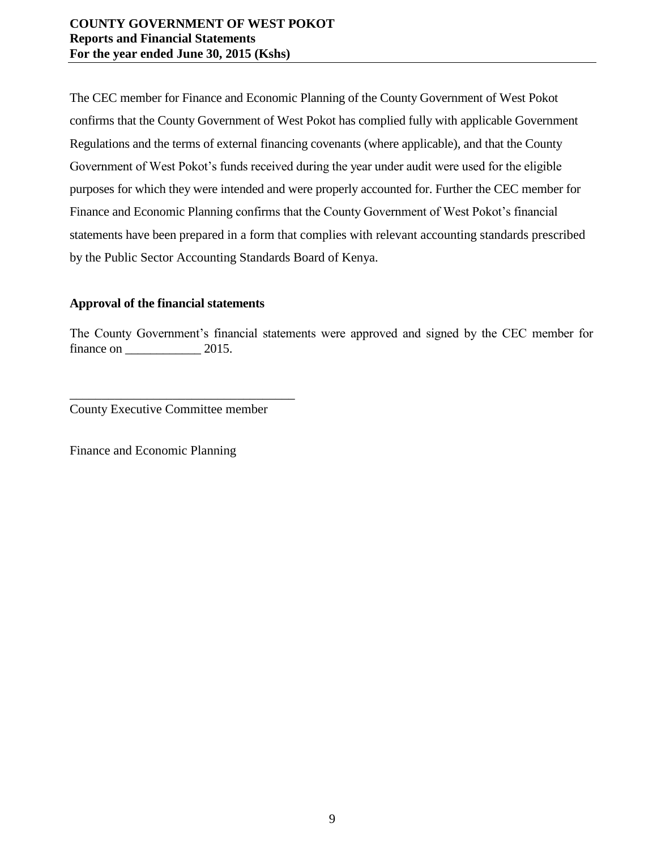The CEC member for Finance and Economic Planning of the County Government of West Pokot confirms that the County Government of West Pokot has complied fully with applicable Government Regulations and the terms of external financing covenants (where applicable), and that the County Government of West Pokot's funds received during the year under audit were used for the eligible purposes for which they were intended and were properly accounted for. Further the CEC member for Finance and Economic Planning confirms that the County Government of West Pokot's financial statements have been prepared in a form that complies with relevant accounting standards prescribed by the Public Sector Accounting Standards Board of Kenya.

# **Approval of the financial statements**

The County Government's financial statements were approved and signed by the CEC member for finance on  $2015$ .

County Executive Committee member

\_\_\_\_\_\_\_\_\_\_\_\_\_\_\_\_\_\_\_\_\_\_\_\_\_\_\_\_\_\_\_\_\_\_\_

<span id="page-8-0"></span>Finance and Economic Planning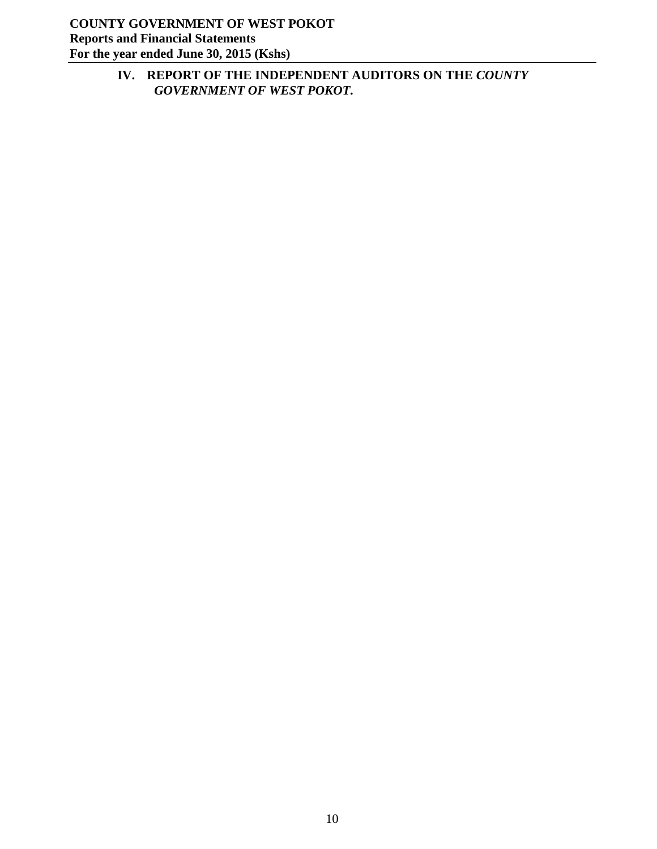<span id="page-9-0"></span>**IV. REPORT OF THE INDEPENDENT AUDITORS ON THE** *COUNTY GOVERNMENT OF WEST POKOT.*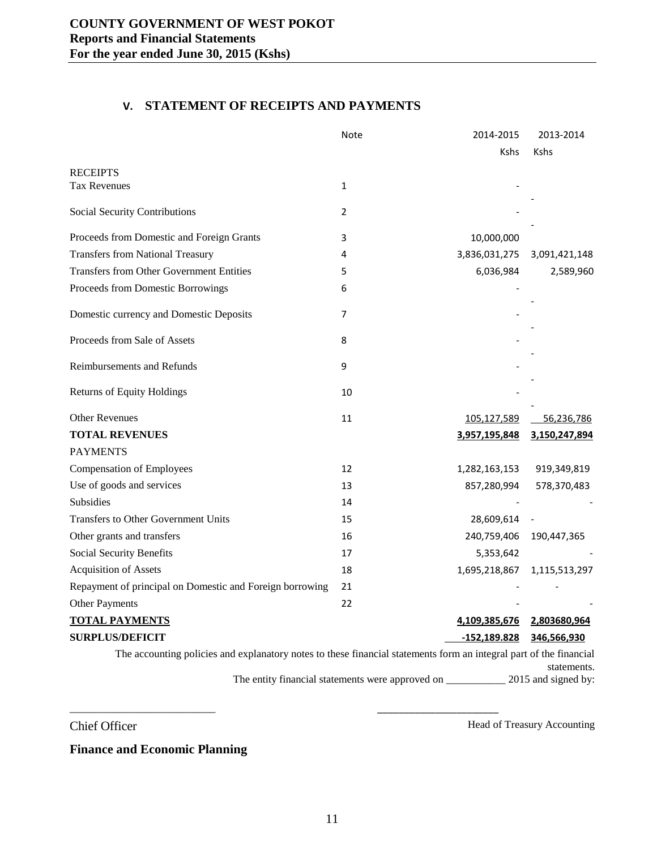#### **V. STATEMENT OF RECEIPTS AND PAYMENTS**

<span id="page-10-0"></span>

|                                                                                                                    | Note           | 2014-2015      | 2013-2014     |
|--------------------------------------------------------------------------------------------------------------------|----------------|----------------|---------------|
|                                                                                                                    |                | <b>Kshs</b>    | <b>Kshs</b>   |
| <b>RECEIPTS</b>                                                                                                    |                |                |               |
| Tax Revenues                                                                                                       | $\mathbf{1}$   |                |               |
| <b>Social Security Contributions</b>                                                                               | $\overline{2}$ |                |               |
| Proceeds from Domestic and Foreign Grants                                                                          | 3              | 10,000,000     |               |
| <b>Transfers from National Treasury</b>                                                                            | 4              | 3,836,031,275  | 3,091,421,148 |
| <b>Transfers from Other Government Entities</b>                                                                    | 5              | 6,036,984      | 2,589,960     |
| Proceeds from Domestic Borrowings                                                                                  | 6              |                |               |
| Domestic currency and Domestic Deposits                                                                            | $\overline{7}$ |                |               |
| Proceeds from Sale of Assets                                                                                       | 8              |                |               |
| Reimbursements and Refunds                                                                                         | 9              |                |               |
| <b>Returns of Equity Holdings</b>                                                                                  | 10             |                |               |
| <b>Other Revenues</b>                                                                                              | 11             | 105,127,589    | 56,236,786    |
| <b>TOTAL REVENUES</b>                                                                                              |                | 3,957,195,848  | 3,150,247,894 |
| <b>PAYMENTS</b>                                                                                                    |                |                |               |
| <b>Compensation of Employees</b>                                                                                   | 12             | 1,282,163,153  | 919,349,819   |
| Use of goods and services                                                                                          | 13             | 857,280,994    | 578,370,483   |
| Subsidies                                                                                                          | 14             |                |               |
| <b>Transfers to Other Government Units</b>                                                                         | 15             | 28,609,614     |               |
| Other grants and transfers                                                                                         | 16             | 240,759,406    | 190,447,365   |
| Social Security Benefits                                                                                           | 17             | 5,353,642      |               |
| <b>Acquisition of Assets</b>                                                                                       | 18             | 1,695,218,867  | 1,115,513,297 |
| Repayment of principal on Domestic and Foreign borrowing                                                           | 21             |                |               |
| Other Payments                                                                                                     | 22             |                |               |
| <b>TOTAL PAYMENTS</b>                                                                                              |                | 4,109,385,676  | 2,803680,964  |
| <b>SURPLUS/DEFICIT</b>                                                                                             |                | $-152,189.828$ | 346,566,930   |
| The accounting policies and explanatory notes to these financial statements form an integral part of the financial |                |                | statements.   |

The entity financial statements were approved on \_\_\_\_\_\_\_\_\_\_\_\_\_ 2015 and signed by:

Chief Officer Head of Treasury Accounting

**Finance and Economic Planning**

 $\overline{\phantom{a}}$  , and the contract of the contract of the contract of the contract of the contract of the contract of the contract of the contract of the contract of the contract of the contract of the contract of the contrac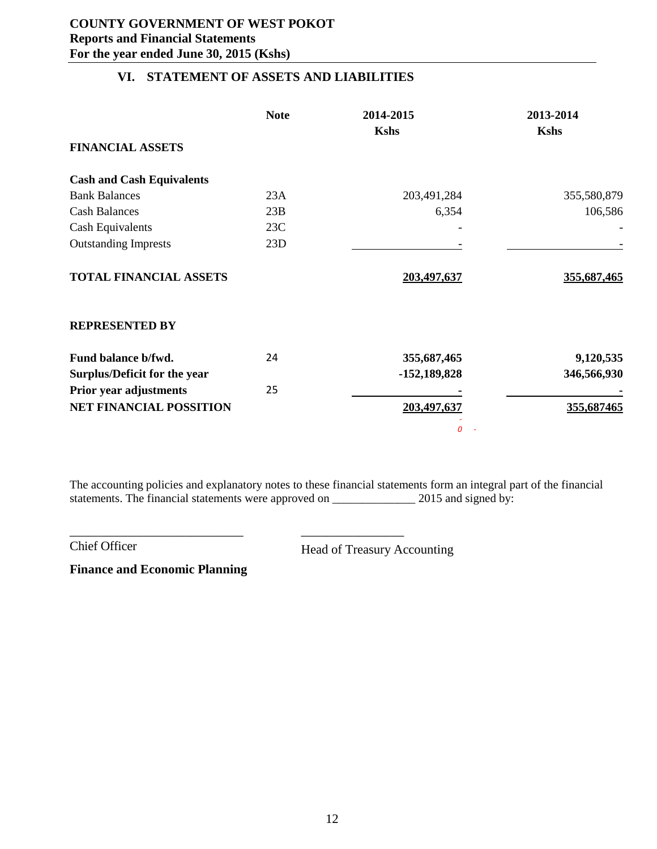# **VI. STATEMENT OF ASSETS AND LIABILITIES**

<span id="page-11-0"></span>

|                                  | <b>Note</b> | 2014-2015      | 2013-2014   |
|----------------------------------|-------------|----------------|-------------|
|                                  |             | <b>Kshs</b>    | <b>Kshs</b> |
| <b>FINANCIAL ASSETS</b>          |             |                |             |
| <b>Cash and Cash Equivalents</b> |             |                |             |
| <b>Bank Balances</b>             | 23A         | 203,491,284    | 355,580,879 |
| <b>Cash Balances</b>             | 23B         | 6,354          | 106,586     |
| <b>Cash Equivalents</b>          | 23C         |                |             |
| <b>Outstanding Imprests</b>      | 23D         |                |             |
| <b>TOTAL FINANCIAL ASSETS</b>    |             | 203,497,637    | 355,687,465 |
| <b>REPRESENTED BY</b>            |             |                |             |
| Fund balance b/fwd.              | 24          | 355,687,465    | 9,120,535   |
| Surplus/Deficit for the year     |             | $-152,189,828$ | 346,566,930 |
| <b>Prior year adjustments</b>    | 25          |                |             |
| <b>NET FINANCIAL POSSITION</b>   |             | 203,497,637    | 355,687465  |
|                                  |             | 0              |             |

The accounting policies and explanatory notes to these financial statements form an integral part of the financial statements. The financial statements were approved on \_\_\_\_\_\_\_\_\_\_\_\_\_\_\_\_\_\_\_\_ 2015 and signed by:

Chief Officer Head of Treasury Accounting

**Finance and Economic Planning**

\_\_\_\_\_\_\_\_\_\_\_\_\_\_\_\_\_\_\_\_\_\_\_\_\_\_\_ \_\_\_\_\_\_\_\_\_\_\_\_\_\_\_\_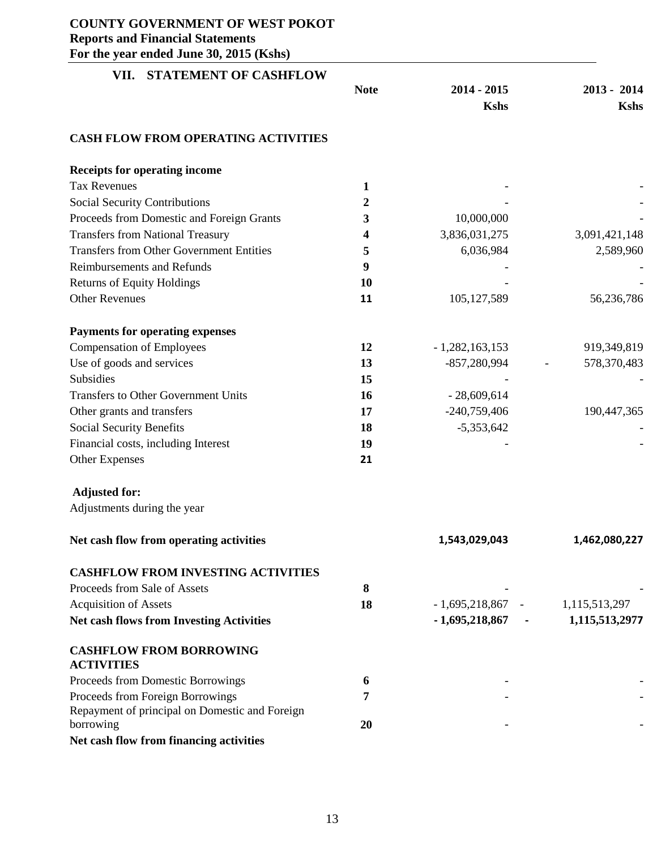<span id="page-12-0"></span>

| VII. STATEMENT OF CASHFLOW                                  |              |                    |                |
|-------------------------------------------------------------|--------------|--------------------|----------------|
|                                                             | <b>Note</b>  | $2014 - 2015$      | $2013 - 2014$  |
|                                                             |              | <b>Kshs</b>        | <b>Kshs</b>    |
| <b>CASH FLOW FROM OPERATING ACTIVITIES</b>                  |              |                    |                |
| <b>Receipts for operating income</b>                        |              |                    |                |
| <b>Tax Revenues</b>                                         | $\mathbf{1}$ |                    |                |
| <b>Social Security Contributions</b>                        | 2            |                    |                |
| Proceeds from Domestic and Foreign Grants                   | 3            | 10,000,000         |                |
| <b>Transfers from National Treasury</b>                     | 4            | 3,836,031,275      | 3,091,421,148  |
| <b>Transfers from Other Government Entities</b>             | 5            | 6,036,984          | 2,589,960      |
| <b>Reimbursements and Refunds</b>                           | 9            |                    |                |
| <b>Returns of Equity Holdings</b>                           | 10           |                    |                |
| <b>Other Revenues</b>                                       | 11           | 105,127,589        | 56,236,786     |
| <b>Payments for operating expenses</b>                      |              |                    |                |
| <b>Compensation of Employees</b>                            | 12           | $-1,282,163,153$   | 919,349,819    |
| Use of goods and services                                   | 13           | -857,280,994       | 578,370,483    |
| Subsidies                                                   | 15           |                    |                |
| Transfers to Other Government Units                         | 16           | $-28,609,614$      |                |
| Other grants and transfers                                  | 17           | $-240,759,406$     | 190,447,365    |
| Social Security Benefits                                    | 18           | $-5,353,642$       |                |
| Financial costs, including Interest                         | 19           |                    |                |
| <b>Other Expenses</b>                                       | 21           |                    |                |
| <b>Adjusted for:</b>                                        |              |                    |                |
| Adjustments during the year                                 |              |                    |                |
| Net cash flow from operating activities                     |              | 1,543,029,043      | 1,462,080,227  |
| <b>CASHFLOW FROM INVESTING ACTIVITIES</b>                   |              |                    |                |
| Proceeds from Sale of Assets                                | 8            |                    |                |
| <b>Acquisition of Assets</b>                                | 18           | $-1,695,218,867$ - | 1,115,513,297  |
| <b>Net cash flows from Investing Activities</b>             |              | $-1,695,218,867$ - | 1,115,513,2977 |
| <b>CASHFLOW FROM BORROWING</b>                              |              |                    |                |
| <b>ACTIVITIES</b>                                           |              |                    |                |
| Proceeds from Domestic Borrowings                           | 6            |                    |                |
| Proceeds from Foreign Borrowings                            | 7            |                    |                |
| Repayment of principal on Domestic and Foreign<br>borrowing | 20           |                    |                |
| Net cash flow from financing activities                     |              |                    |                |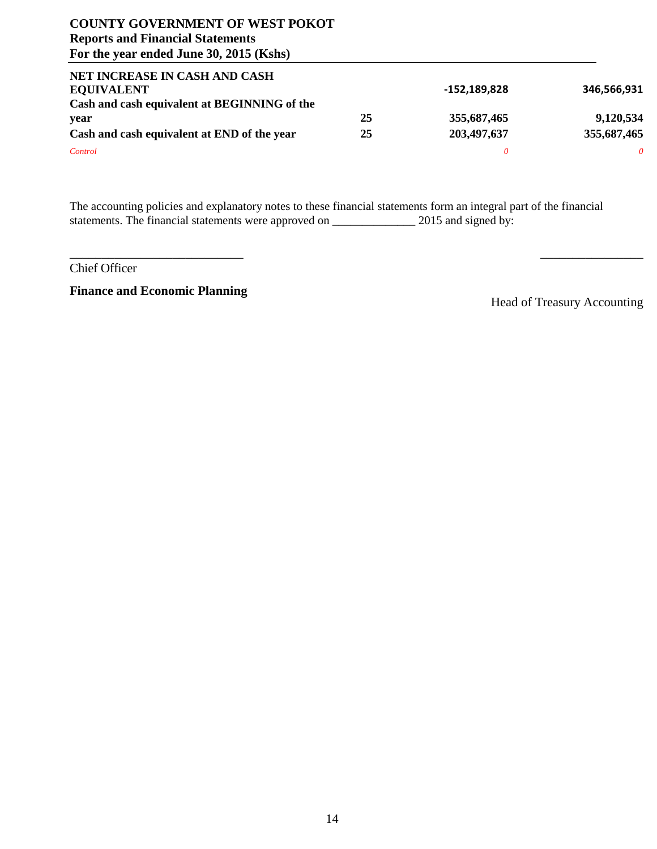| NET INCREASE IN CASH AND CASH                |    |              |             |
|----------------------------------------------|----|--------------|-------------|
| <b>EQUIVALENT</b>                            |    | -152,189,828 | 346,566,931 |
| Cash and cash equivalent at BEGINNING of the |    |              |             |
| year                                         | 25 | 355,687,465  | 9,120,534   |
| Cash and cash equivalent at END of the year  | 25 | 203,497,637  | 355,687,465 |
| Control                                      |    |              | 0           |

The accounting policies and explanatory notes to these financial statements form an integral part of the financial statements. The financial statements were approved on \_\_\_\_\_\_\_\_\_\_\_\_\_\_\_\_\_\_\_\_ 2015 and signed by:

 $\overline{\phantom{a}}$  , and the contract of the contract of the contract of the contract of the contract of the contract of the contract of the contract of the contract of the contract of the contract of the contract of the contrac

Chief Officer

**Finance and Economic Planning**

Head of Treasury Accounting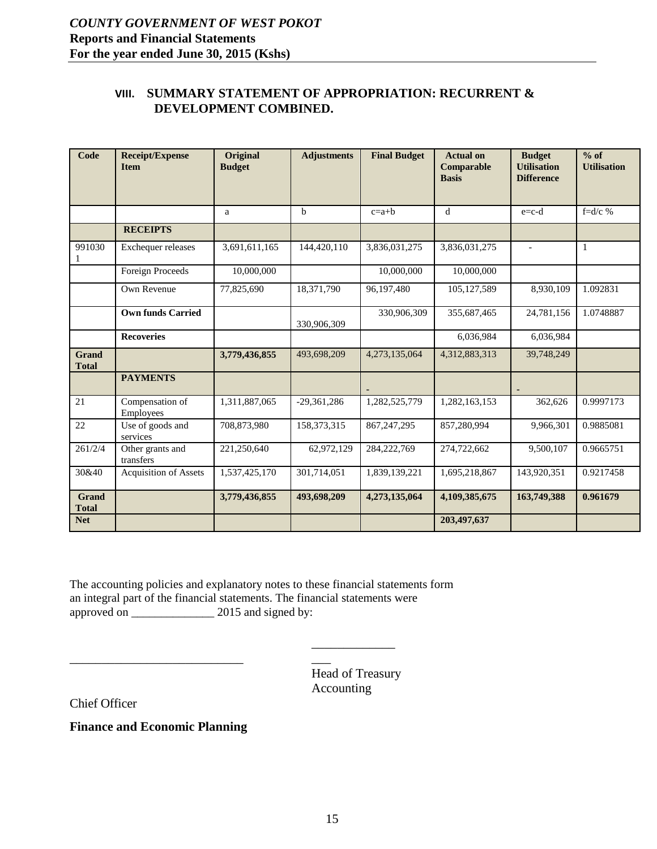#### <span id="page-14-0"></span>**VIII. SUMMARY STATEMENT OF APPROPRIATION: RECURRENT & DEVELOPMENT COMBINED.**

| Code                         | <b>Receipt/Expense</b><br><b>Item</b> | <b>Original</b><br><b>Budget</b> | <b>Adjustments</b> | <b>Final Budget</b> | <b>Actual on</b><br>Comparable<br><b>Basis</b> | <b>Budget</b><br><b>Utilisation</b><br><b>Difference</b> | $%$ of<br><b>Utilisation</b> |
|------------------------------|---------------------------------------|----------------------------------|--------------------|---------------------|------------------------------------------------|----------------------------------------------------------|------------------------------|
|                              |                                       | a                                | b                  | $c=a+b$             | d                                              | $e = c-d$                                                | f= $d/c$ %                   |
|                              | <b>RECEIPTS</b>                       |                                  |                    |                     |                                                |                                                          |                              |
| 991030                       | Exchequer releases                    | 3,691,611,165                    | 144,420,110        | 3,836,031,275       | 3,836,031,275                                  | $\blacksquare$                                           | 1                            |
|                              | Foreign Proceeds                      | 10,000,000                       |                    | 10,000,000          | 10,000,000                                     |                                                          |                              |
|                              | Own Revenue                           | 77,825,690                       | 18,371,790         | 96,197,480          | 105,127,589                                    | 8,930,109                                                | 1.092831                     |
|                              | <b>Own funds Carried</b>              |                                  | 330,906,309        | 330,906,309         | 355,687,465                                    | 24,781,156                                               | 1.0748887                    |
|                              | <b>Recoveries</b>                     |                                  |                    |                     | 6,036,984                                      | 6,036,984                                                |                              |
| <b>Grand</b><br><b>Total</b> |                                       | 3,779,436,855                    | 493,698,209        | 4,273,135,064       | 4,312,883,313                                  | 39,748,249                                               |                              |
|                              | <b>PAYMENTS</b>                       |                                  |                    |                     |                                                |                                                          |                              |
| 21                           | Compensation of<br>Employees          | 1,311,887,065                    | $-29,361,286$      | 1,282,525,779       | 1,282,163,153                                  | 362,626                                                  | 0.9997173                    |
| 22                           | Use of goods and<br>services          | 708,873,980                      | 158, 373, 315      | 867, 247, 295       | 857,280,994                                    | 9,966,301                                                | 0.9885081                    |
| 261/2/4                      | Other grants and<br>transfers         | 221,250,640                      | 62,972,129         | 284,222,769         | 274,722,662                                    | 9,500,107                                                | 0.9665751                    |
| 30&40                        | Acquisition of Assets                 | 1,537,425,170                    | 301,714,051        | 1,839,139,221       | 1,695,218,867                                  | 143,920,351                                              | 0.9217458                    |
| <b>Grand</b><br><b>Total</b> |                                       | 3,779,436,855                    | 493,698,209        | 4,273,135,064       | 4,109,385,675                                  | 163,749,388                                              | 0.961679                     |
| <b>Net</b>                   |                                       |                                  |                    |                     | 203,497,637                                    |                                                          |                              |

The accounting policies and explanatory notes to these financial statements form an integral part of the financial statements. The financial statements were approved on  $\frac{6}{x}$  2015 and signed by:

> Head of Treasury Accounting

\_\_\_\_\_\_\_\_\_\_\_\_\_

 $\overline{\phantom{a}}$ 

Chief Officer

**Finance and Economic Planning**

\_\_\_\_\_\_\_\_\_\_\_\_\_\_\_\_\_\_\_\_\_\_\_\_\_\_\_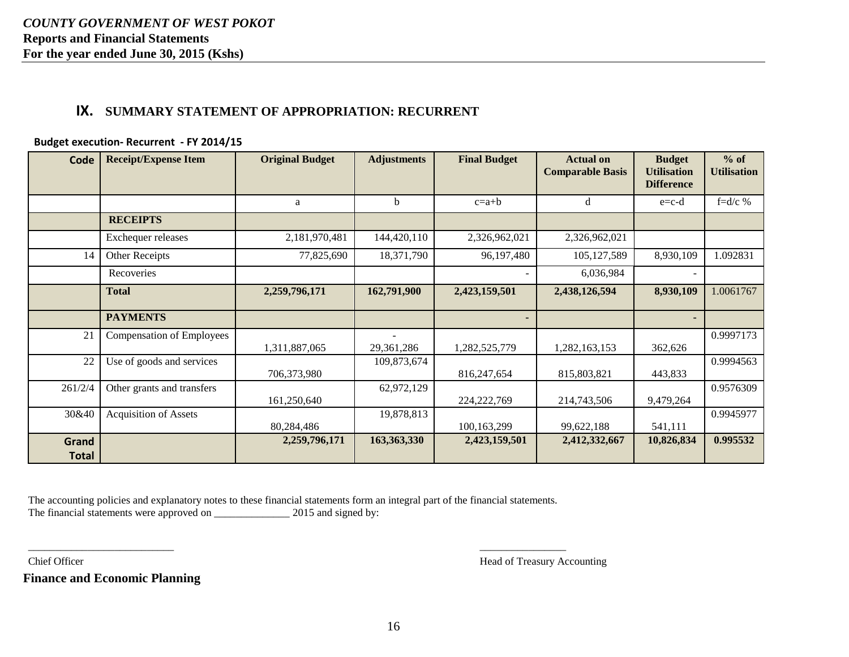# **IX. SUMMARY STATEMENT OF APPROPRIATION: RECURRENT**

#### **Budget execution- Recurrent - FY 2014/15**

<span id="page-15-0"></span>

| Code                  | <b>Receipt/Expense Item</b>      | <b>Original Budget</b> | <b>Adjustments</b>                     | <b>Final Budget</b> | <b>Actual</b> on<br><b>Comparable Basis</b> | <b>Budget</b><br><b>Utilisation</b><br><b>Difference</b> | $%$ of<br><b>Utilisation</b> |
|-----------------------|----------------------------------|------------------------|----------------------------------------|---------------------|---------------------------------------------|----------------------------------------------------------|------------------------------|
|                       |                                  | a                      | b                                      | $c=a+b$             | d                                           | $e = c-d$                                                | $f=d/c$ %                    |
|                       | <b>RECEIPTS</b>                  |                        |                                        |                     |                                             |                                                          |                              |
|                       | Exchequer releases               | 2,181,970,481          | 144,420,110                            | 2,326,962,021       | 2,326,962,021                               |                                                          |                              |
| 14                    | Other Receipts                   | 77,825,690             | 18,371,790                             | 96,197,480          | 105,127,589                                 | 8,930,109                                                | 1.092831                     |
|                       | Recoveries                       |                        |                                        |                     | 6,036,984                                   |                                                          |                              |
|                       | <b>Total</b>                     | 2,259,796,171          | 162,791,900                            | 2,423,159,501       | 2,438,126,594                               | 8,930,109                                                | 1.0061767                    |
|                       | <b>PAYMENTS</b>                  |                        |                                        |                     |                                             | $\overline{\phantom{a}}$                                 |                              |
| 21                    | <b>Compensation of Employees</b> | 1,311,887,065          | $\overline{\phantom{a}}$<br>29,361,286 | 1,282,525,779       | 1,282,163,153                               | 362,626                                                  | 0.9997173                    |
| 22                    | Use of goods and services        | 706,373,980            | 109,873,674                            | 816,247,654         | 815,803,821                                 | 443,833                                                  | 0.9994563                    |
| 261/2/4               | Other grants and transfers       | 161,250,640            | 62,972,129                             | 224, 222, 769       | 214,743,506                                 | 9,479,264                                                | 0.9576309                    |
| 30&40                 | <b>Acquisition of Assets</b>     | 80,284,486             | 19,878,813                             | 100,163,299         | 99,622,188                                  | 541,111                                                  | 0.9945977                    |
| Grand<br><b>Total</b> |                                  | 2,259,796,171          | 163,363,330                            | 2,423,159,501       | 2,412,332,667                               | 10,826,834                                               | 0.995532                     |

The accounting policies and explanatory notes to these financial statements form an integral part of the financial statements. The financial statements were approved on \_\_\_\_\_\_\_\_\_\_\_\_\_\_\_\_\_\_ 2015 and signed by:

**Finance and Economic Planning**

Chief Officer Head of Treasury Accounting Head of Treasury Accounting

\_\_\_\_\_\_\_\_\_\_\_\_\_\_\_\_\_\_\_\_\_\_\_\_\_\_\_ \_\_\_\_\_\_\_\_\_\_\_\_\_\_\_\_ \_\_\_\_\_\_\_\_\_\_\_\_\_\_\_\_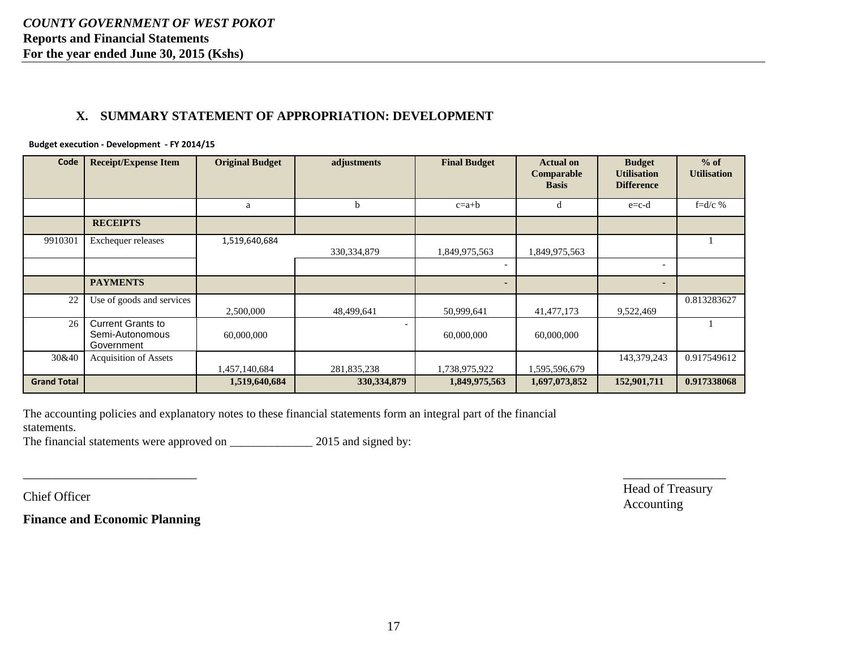# **X. SUMMARY STATEMENT OF APPROPRIATION: DEVELOPMENT**

#### **Budget execution - Development - FY 2014/15**

| Code               | <b>Receipt/Expense Item</b>                               | <b>Original Budget</b> | adjustments   | <b>Final Budget</b> | <b>Actual on</b><br>Comparable<br><b>Basis</b> | <b>Budget</b><br><b>Utilisation</b><br><b>Difference</b> | $%$ of<br><b>Utilisation</b> |
|--------------------|-----------------------------------------------------------|------------------------|---------------|---------------------|------------------------------------------------|----------------------------------------------------------|------------------------------|
|                    |                                                           | a                      | b             | $c=a+b$             | đ                                              | $e=c-d$                                                  | f= $d/c$ %                   |
|                    | <b>RECEIPTS</b>                                           |                        |               |                     |                                                |                                                          |                              |
| 9910301            | Exchequer releases                                        | 1,519,640,684          | 330, 334, 879 | 1,849,975,563       | 1,849,975,563                                  |                                                          |                              |
|                    |                                                           |                        |               |                     |                                                | $\overline{\phantom{a}}$                                 |                              |
|                    | <b>PAYMENTS</b>                                           |                        |               |                     |                                                | ٠                                                        |                              |
| 22                 | Use of goods and services                                 | 2,500,000              | 48,499,641    | 50,999,641          | 41, 477, 173                                   | 9,522,469                                                | 0.813283627                  |
| 26                 | <b>Current Grants to</b><br>Semi-Autonomous<br>Government | 60,000,000             |               | 60,000,000          | 60,000,000                                     |                                                          |                              |
| 30&40              | <b>Acquisition of Assets</b>                              | 1,457,140,684          | 281,835,238   | 1,738,975,922       | 1,595,596,679                                  | 143,379,243                                              | 0.917549612                  |
| <b>Grand Total</b> |                                                           | 1,519,640,684          | 330, 334, 879 | 1,849,975,563       | 1,697,073,852                                  | 152,901,711                                              | 0.917338068                  |

<span id="page-16-0"></span>The accounting policies and explanatory notes to these financial statements form an integral part of the financial statements.

The financial statements were approved on \_\_\_\_\_\_\_\_\_\_\_\_\_\_\_\_\_\_\_ 2015 and signed by:

**Finance and Economic Planning**

Chief Officer Head of Treasury Head of Treasury Accounting

 $\overline{\phantom{a}}$  , and the contract of the contract of the contract of the contract of the contract of the contract of the contract of the contract of the contract of the contract of the contract of the contract of the contrac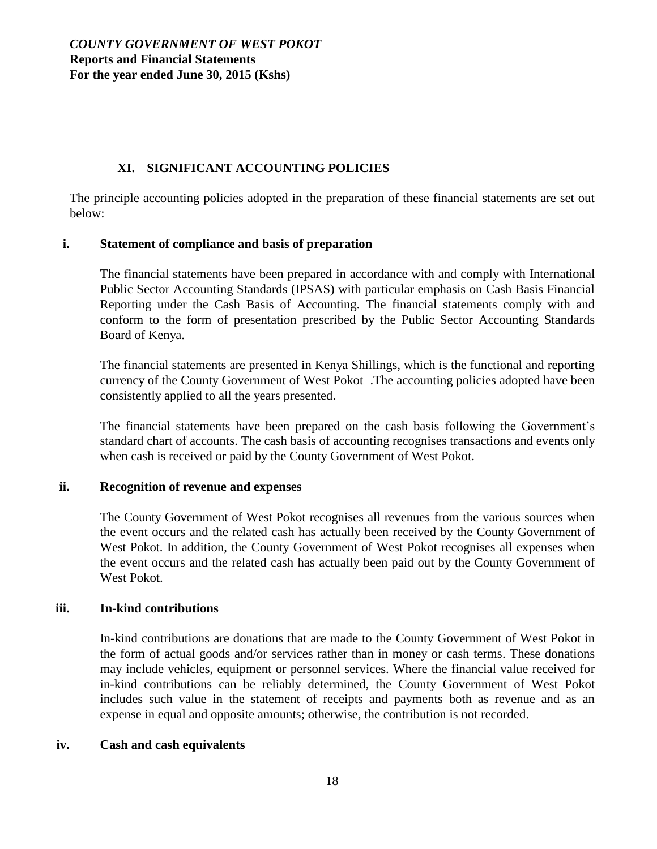# **XI. SIGNIFICANT ACCOUNTING POLICIES**

<span id="page-17-0"></span>The principle accounting policies adopted in the preparation of these financial statements are set out below:

#### **i. Statement of compliance and basis of preparation**

The financial statements have been prepared in accordance with and comply with International Public Sector Accounting Standards (IPSAS) with particular emphasis on Cash Basis Financial Reporting under the Cash Basis of Accounting. The financial statements comply with and conform to the form of presentation prescribed by the Public Sector Accounting Standards Board of Kenya.

The financial statements are presented in Kenya Shillings, which is the functional and reporting currency of the County Government of West Pokot .The accounting policies adopted have been consistently applied to all the years presented.

The financial statements have been prepared on the cash basis following the Government's standard chart of accounts. The cash basis of accounting recognises transactions and events only when cash is received or paid by the County Government of West Pokot.

# **ii. Recognition of revenue and expenses**

The County Government of West Pokot recognises all revenues from the various sources when the event occurs and the related cash has actually been received by the County Government of West Pokot. In addition, the County Government of West Pokot recognises all expenses when the event occurs and the related cash has actually been paid out by the County Government of West Pokot.

#### **iii. In-kind contributions**

In-kind contributions are donations that are made to the County Government of West Pokot in the form of actual goods and/or services rather than in money or cash terms. These donations may include vehicles, equipment or personnel services. Where the financial value received for in-kind contributions can be reliably determined, the County Government of West Pokot includes such value in the statement of receipts and payments both as revenue and as an expense in equal and opposite amounts; otherwise, the contribution is not recorded.

#### **iv. Cash and cash equivalents**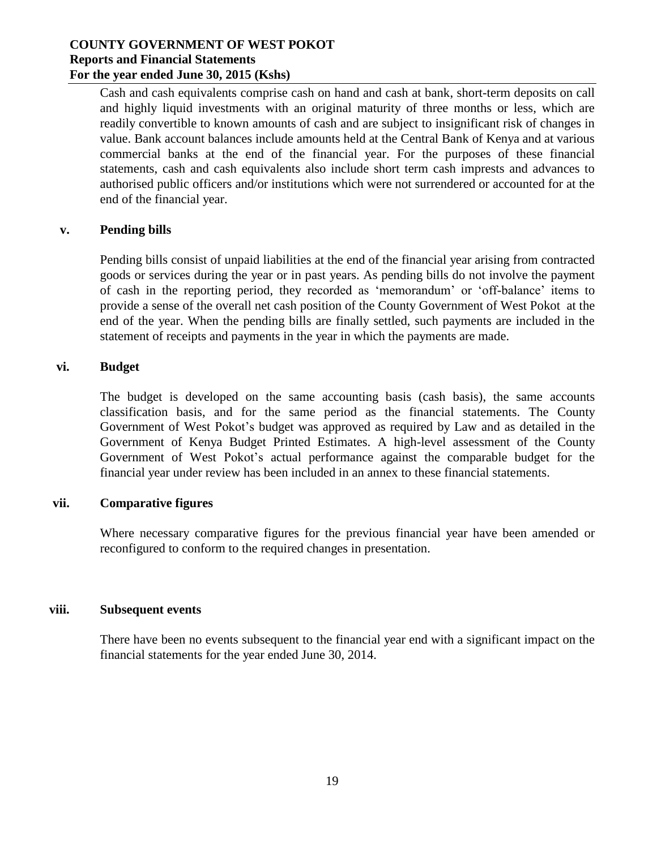Cash and cash equivalents comprise cash on hand and cash at bank, short-term deposits on call and highly liquid investments with an original maturity of three months or less, which are readily convertible to known amounts of cash and are subject to insignificant risk of changes in value. Bank account balances include amounts held at the Central Bank of Kenya and at various commercial banks at the end of the financial year. For the purposes of these financial statements, cash and cash equivalents also include short term cash imprests and advances to authorised public officers and/or institutions which were not surrendered or accounted for at the end of the financial year.

#### **v. Pending bills**

Pending bills consist of unpaid liabilities at the end of the financial year arising from contracted goods or services during the year or in past years. As pending bills do not involve the payment of cash in the reporting period, they recorded as 'memorandum' or 'off-balance' items to provide a sense of the overall net cash position of the County Government of West Pokot at the end of the year. When the pending bills are finally settled, such payments are included in the statement of receipts and payments in the year in which the payments are made.

#### **vi. Budget**

The budget is developed on the same accounting basis (cash basis), the same accounts classification basis, and for the same period as the financial statements. The County Government of West Pokot's budget was approved as required by Law and as detailed in the Government of Kenya Budget Printed Estimates. A high-level assessment of the County Government of West Pokot's actual performance against the comparable budget for the financial year under review has been included in an annex to these financial statements.

#### **vii. Comparative figures**

Where necessary comparative figures for the previous financial year have been amended or reconfigured to conform to the required changes in presentation.

#### **viii. Subsequent events**

There have been no events subsequent to the financial year end with a significant impact on the financial statements for the year ended June 30, 2014.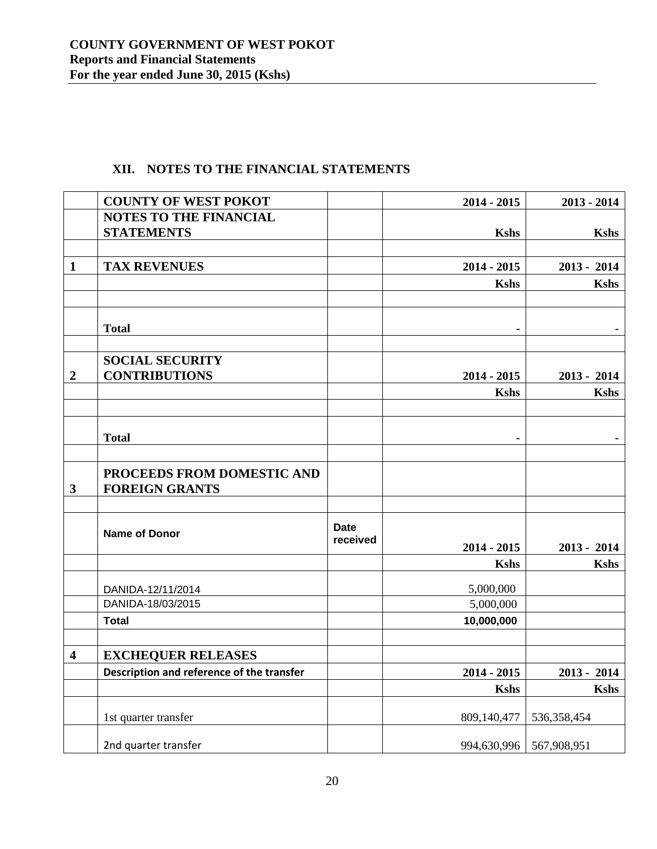<span id="page-19-0"></span>

|                         | <b>COUNTY OF WEST POKOT</b>               |                         | $2014 - 2015$ | $2013 - 2014$ |
|-------------------------|-------------------------------------------|-------------------------|---------------|---------------|
|                         | <b>NOTES TO THE FINANCIAL</b>             |                         |               |               |
|                         | <b>STATEMENTS</b>                         |                         | <b>Kshs</b>   | <b>Kshs</b>   |
|                         |                                           |                         |               |               |
| $\mathbf{1}$            | <b>TAX REVENUES</b>                       |                         | $2014 - 2015$ | $2013 - 2014$ |
|                         |                                           |                         | <b>Kshs</b>   | <b>Kshs</b>   |
|                         |                                           |                         |               |               |
|                         | <b>Total</b>                              |                         |               |               |
|                         |                                           |                         |               |               |
|                         | <b>SOCIAL SECURITY</b>                    |                         |               |               |
| $\boldsymbol{2}$        | <b>CONTRIBUTIONS</b>                      |                         | $2014 - 2015$ | $2013 - 2014$ |
|                         |                                           |                         |               |               |
|                         |                                           |                         | <b>Kshs</b>   | <b>Kshs</b>   |
|                         |                                           |                         |               |               |
|                         | <b>Total</b>                              |                         | ٠             |               |
|                         |                                           |                         |               |               |
|                         | PROCEEDS FROM DOMESTIC AND                |                         |               |               |
|                         |                                           |                         |               |               |
| $\mathbf{3}$            | <b>FOREIGN GRANTS</b>                     |                         |               |               |
|                         |                                           |                         |               |               |
|                         | <b>Name of Donor</b>                      | <b>Date</b><br>received | $2014 - 2015$ | $2013 - 2014$ |
|                         |                                           |                         | <b>Kshs</b>   |               |
|                         |                                           |                         |               | <b>Kshs</b>   |
|                         | DANIDA-12/11/2014                         |                         | 5,000,000     |               |
|                         | DANIDA-18/03/2015                         |                         | 5,000,000     |               |
|                         | <b>Total</b>                              |                         | 10,000,000    |               |
|                         |                                           |                         |               |               |
| $\overline{\mathbf{4}}$ | <b>EXCHEQUER RELEASES</b>                 |                         |               |               |
|                         | Description and reference of the transfer |                         | $2014 - 2015$ | $2013 - 2014$ |
|                         |                                           |                         | <b>Kshs</b>   | <b>Kshs</b>   |
|                         |                                           |                         |               |               |
|                         | 1st quarter transfer                      |                         | 809,140,477   | 536, 358, 454 |
|                         | 2nd quarter transfer                      |                         | 994,630,996   | 567,908,951   |

# **XII. NOTES TO THE FINANCIAL STATEMENTS**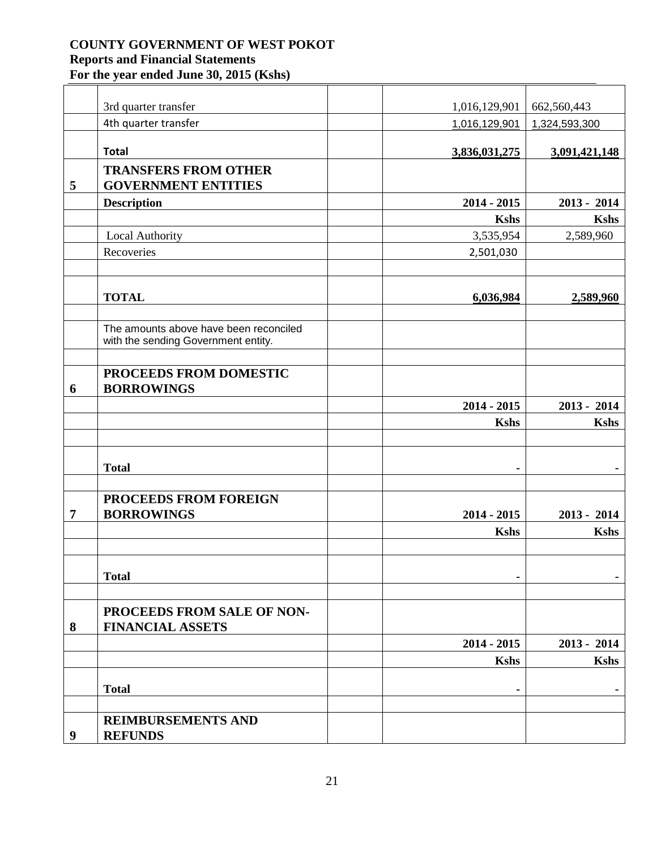|                  | 3rd quarter transfer                                                          | 1,016,129,901 | 662,560,443    |
|------------------|-------------------------------------------------------------------------------|---------------|----------------|
|                  | 4th quarter transfer                                                          | 1,016,129,901 | 1,324,593,300  |
|                  |                                                                               |               |                |
|                  | <b>Total</b>                                                                  | 3,836,031,275 | 3,091,421,148  |
|                  | <b>TRANSFERS FROM OTHER</b>                                                   |               |                |
| 5                | <b>GOVERNMENT ENTITIES</b>                                                    |               |                |
|                  | <b>Description</b>                                                            | $2014 - 2015$ | $2013 - 2014$  |
|                  |                                                                               | <b>Kshs</b>   | <b>Kshs</b>    |
|                  | Local Authority                                                               | 3,535,954     | 2,589,960      |
|                  | Recoveries                                                                    | 2,501,030     |                |
|                  |                                                                               |               |                |
|                  | <b>TOTAL</b>                                                                  | 6,036,984     | 2,589,960      |
|                  |                                                                               |               |                |
|                  | The amounts above have been reconciled<br>with the sending Government entity. |               |                |
|                  |                                                                               |               |                |
| 6                | PROCEEDS FROM DOMESTIC<br><b>BORROWINGS</b>                                   |               |                |
|                  |                                                                               | $2014 - 2015$ | $2013 - 2014$  |
|                  |                                                                               | <b>Kshs</b>   | <b>Kshs</b>    |
|                  |                                                                               |               |                |
|                  | <b>Total</b>                                                                  | ۰             |                |
|                  |                                                                               |               |                |
|                  | PROCEEDS FROM FOREIGN                                                         |               |                |
| $\overline{7}$   | <b>BORROWINGS</b>                                                             | $2014 - 2015$ | $2013 - 2014$  |
|                  |                                                                               | <b>Kshs</b>   | <b>Kshs</b>    |
|                  |                                                                               |               |                |
|                  | <b>Total</b>                                                                  | ٠             | $\blacksquare$ |
|                  |                                                                               |               |                |
| 8                | PROCEEDS FROM SALE OF NON-<br><b>FINANCIAL ASSETS</b>                         |               |                |
|                  |                                                                               | $2014 - 2015$ | $2013 - 2014$  |
|                  |                                                                               | <b>Kshs</b>   | <b>Kshs</b>    |
|                  |                                                                               |               |                |
|                  | <b>Total</b>                                                                  |               |                |
|                  |                                                                               |               |                |
| $\boldsymbol{9}$ | <b>REIMBURSEMENTS AND</b><br><b>REFUNDS</b>                                   |               |                |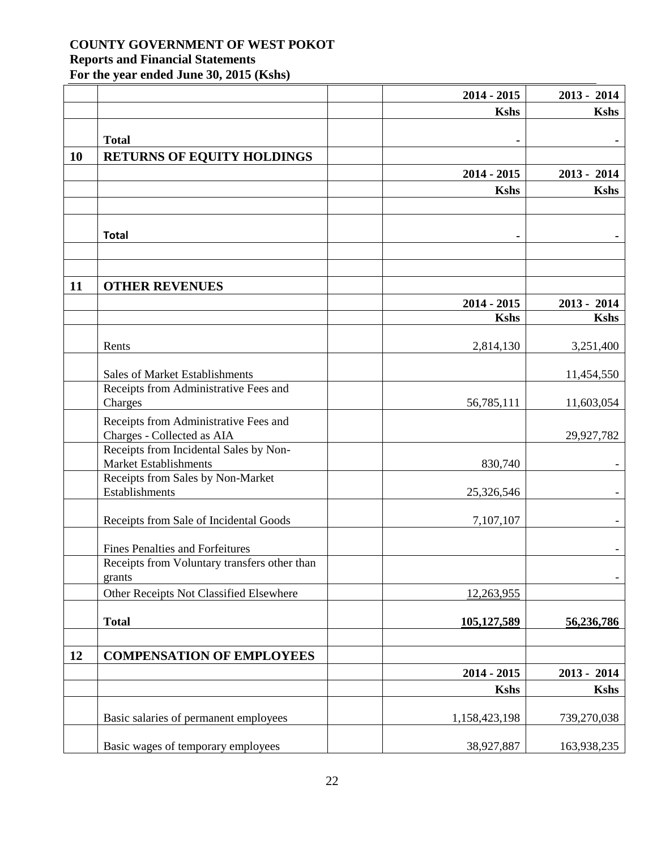|    |                                                                     | 2014 - 2015    | $2013 - 2014$ |
|----|---------------------------------------------------------------------|----------------|---------------|
|    |                                                                     | <b>Kshs</b>    | <b>Kshs</b>   |
|    | <b>Total</b>                                                        |                |               |
| 10 | <b>RETURNS OF EQUITY HOLDINGS</b>                                   | $\blacksquare$ |               |
|    |                                                                     | $2014 - 2015$  | $2013 - 2014$ |
|    |                                                                     | <b>Kshs</b>    | <b>Kshs</b>   |
|    |                                                                     |                |               |
|    |                                                                     |                |               |
|    | <b>Total</b>                                                        | $\blacksquare$ |               |
|    |                                                                     |                |               |
| 11 | <b>OTHER REVENUES</b>                                               |                |               |
|    |                                                                     | $2014 - 2015$  | $2013 - 2014$ |
|    |                                                                     | <b>Kshs</b>    | <b>Kshs</b>   |
|    |                                                                     |                |               |
|    | Rents                                                               | 2,814,130      | 3,251,400     |
|    | Sales of Market Establishments                                      |                | 11,454,550    |
|    | Receipts from Administrative Fees and                               |                |               |
|    | Charges                                                             | 56,785,111     | 11,603,054    |
|    | Receipts from Administrative Fees and<br>Charges - Collected as AIA |                | 29,927,782    |
|    | Receipts from Incidental Sales by Non-                              |                |               |
|    | Market Establishments                                               | 830,740        |               |
|    | Receipts from Sales by Non-Market<br>Establishments                 | 25,326,546     |               |
|    |                                                                     |                |               |
|    | Receipts from Sale of Incidental Goods                              | 7,107,107      |               |
|    | <b>Fines Penalties and Forfeitures</b>                              |                |               |
|    | Receipts from Voluntary transfers other than                        |                |               |
|    | grants                                                              |                |               |
|    | Other Receipts Not Classified Elsewhere                             | 12,263,955     |               |
|    | <b>Total</b>                                                        | 105,127,589    | 56,236,786    |
|    |                                                                     |                |               |
| 12 | <b>COMPENSATION OF EMPLOYEES</b>                                    |                |               |
|    |                                                                     | $2014 - 2015$  | $2013 - 2014$ |
|    |                                                                     | <b>Kshs</b>    | <b>Kshs</b>   |
|    | Basic salaries of permanent employees                               | 1,158,423,198  | 739,270,038   |
|    |                                                                     |                |               |
|    | Basic wages of temporary employees                                  | 38,927,887     | 163,938,235   |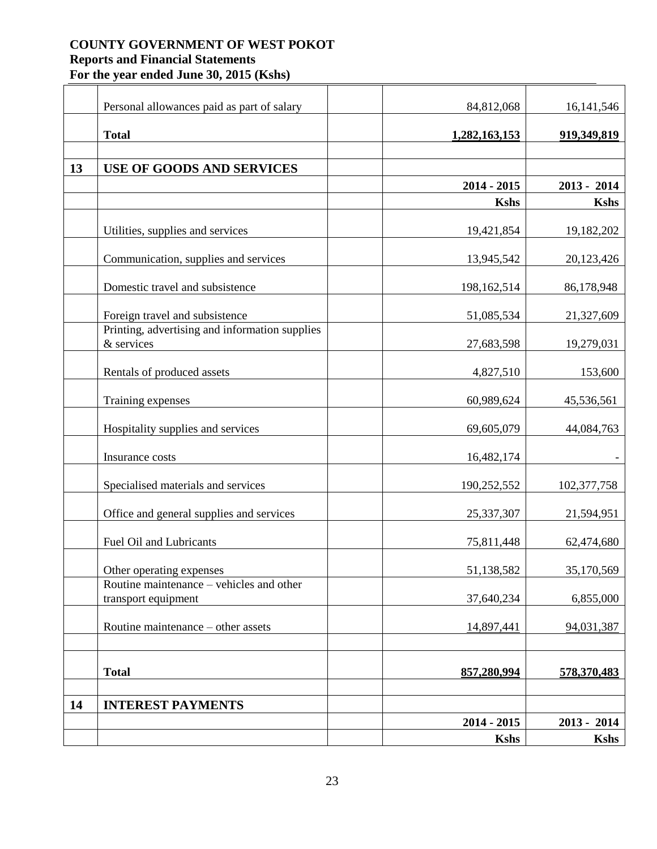|    | Personal allowances paid as part of salary                      | 84,812,068    | 16, 141, 546  |
|----|-----------------------------------------------------------------|---------------|---------------|
|    | <b>Total</b>                                                    | 1,282,163,153 | 919,349,819   |
|    |                                                                 |               |               |
| 13 | <b>USE OF GOODS AND SERVICES</b>                                |               |               |
|    |                                                                 | $2014 - 2015$ | $2013 - 2014$ |
|    |                                                                 | <b>Kshs</b>   | <b>Kshs</b>   |
|    | Utilities, supplies and services                                | 19,421,854    | 19,182,202    |
|    | Communication, supplies and services                            | 13,945,542    | 20,123,426    |
|    | Domestic travel and subsistence                                 | 198,162,514   | 86,178,948    |
|    | Foreign travel and subsistence                                  | 51,085,534    | 21,327,609    |
|    | Printing, advertising and information supplies<br>& services    | 27,683,598    | 19,279,031    |
|    | Rentals of produced assets                                      | 4,827,510     | 153,600       |
|    | Training expenses                                               | 60,989,624    | 45,536,561    |
|    | Hospitality supplies and services                               | 69,605,079    | 44,084,763    |
|    | Insurance costs                                                 | 16,482,174    |               |
|    | Specialised materials and services                              | 190,252,552   | 102,377,758   |
|    | Office and general supplies and services                        | 25,337,307    | 21,594,951    |
|    | <b>Fuel Oil and Lubricants</b>                                  | 75,811,448    | 62,474,680    |
|    | Other operating expenses                                        | 51,138,582    | 35,170,569    |
|    | Routine maintenance – vehicles and other<br>transport equipment | 37,640,234    | 6,855,000     |
|    | Routine maintenance – other assets                              | 14,897,441    | 94,031,387    |
|    |                                                                 |               |               |
|    | <b>Total</b>                                                    | 857,280,994   | 578,370,483   |
| 14 | <b>INTEREST PAYMENTS</b>                                        |               |               |
|    |                                                                 | $2014 - 2015$ | $2013 - 2014$ |
|    |                                                                 | <b>Kshs</b>   | Kshs          |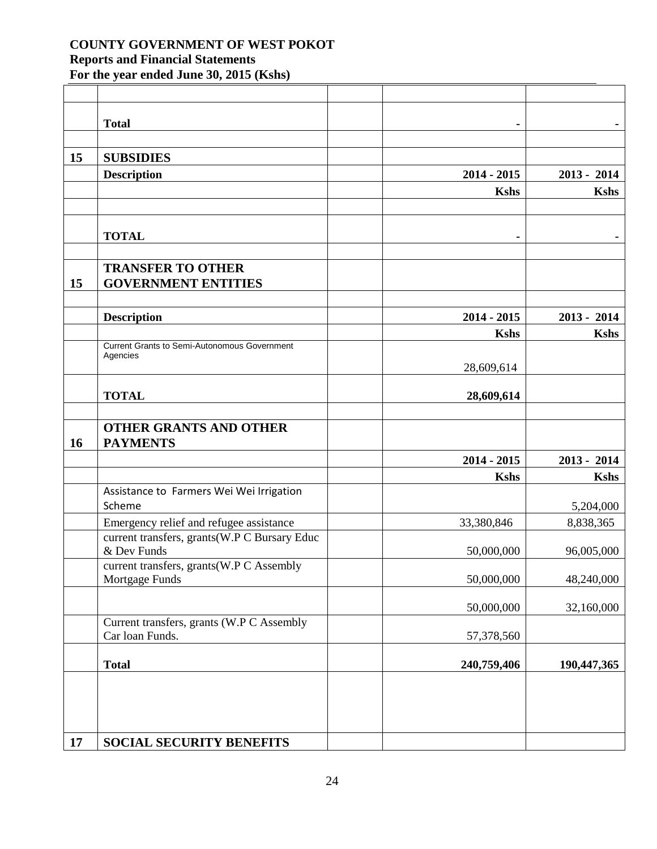|    | <b>Total</b>                                                    | ۰             |               |
|----|-----------------------------------------------------------------|---------------|---------------|
| 15 | <b>SUBSIDIES</b>                                                |               |               |
|    | <b>Description</b>                                              | $2014 - 2015$ | $2013 - 2014$ |
|    |                                                                 | <b>Kshs</b>   | <b>Kshs</b>   |
|    |                                                                 |               |               |
|    | <b>TOTAL</b>                                                    |               |               |
|    |                                                                 |               |               |
| 15 | <b>TRANSFER TO OTHER</b><br><b>GOVERNMENT ENTITIES</b>          |               |               |
|    | <b>Description</b>                                              | $2014 - 2015$ | $2013 - 2014$ |
|    |                                                                 | <b>Kshs</b>   | <b>Kshs</b>   |
|    | <b>Current Grants to Semi-Autonomous Government</b><br>Agencies |               |               |
|    |                                                                 | 28,609,614    |               |
|    |                                                                 |               |               |
|    | <b>TOTAL</b>                                                    | 28,609,614    |               |
| 16 | <b>OTHER GRANTS AND OTHER</b><br><b>PAYMENTS</b>                |               |               |
|    |                                                                 | $2014 - 2015$ | $2013 - 2014$ |
|    |                                                                 | <b>Kshs</b>   | <b>Kshs</b>   |
|    | Assistance to Farmers Wei Wei Irrigation<br>Scheme              |               | 5,204,000     |
|    | Emergency relief and refugee assistance                         | 33,380,846    | 8,838,365     |
|    | current transfers, grants(W.P C Bursary Educ<br>& Dev Funds     | 50,000,000    | 96,005,000    |
|    | current transfers, grants(W.P C Assembly<br>Mortgage Funds      | 50,000,000    | 48,240,000    |
|    |                                                                 | 50,000,000    | 32,160,000    |
|    | Current transfers, grants (W.P C Assembly<br>Car loan Funds.    | 57,378,560    |               |
|    | <b>Total</b>                                                    | 240,759,406   | 190,447,365   |
|    |                                                                 |               |               |
| 17 | <b>SOCIAL SECURITY BENEFITS</b>                                 |               |               |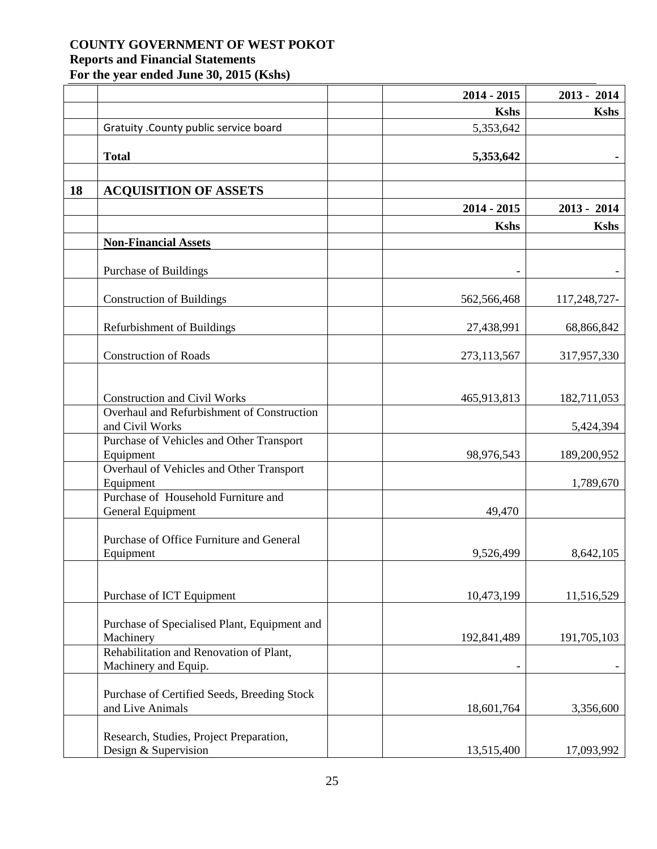|    |                                                      | $2014 - 2015$ | $2013 - 2014$ |
|----|------------------------------------------------------|---------------|---------------|
|    |                                                      | <b>Kshs</b>   | <b>Kshs</b>   |
|    | Gratuity . County public service board               | 5,353,642     |               |
|    |                                                      |               |               |
|    | <b>Total</b>                                         | 5,353,642     |               |
|    |                                                      |               |               |
| 18 | <b>ACQUISITION OF ASSETS</b>                         |               |               |
|    |                                                      | $2014 - 2015$ | $2013 - 2014$ |
|    |                                                      | <b>Kshs</b>   | <b>Kshs</b>   |
|    | <b>Non-Financial Assets</b>                          |               |               |
|    |                                                      |               |               |
|    | Purchase of Buildings                                |               |               |
|    |                                                      |               |               |
|    | <b>Construction of Buildings</b>                     | 562,566,468   | 117,248,727-  |
|    |                                                      |               |               |
|    | Refurbishment of Buildings                           | 27,438,991    | 68,866,842    |
|    | <b>Construction of Roads</b>                         |               | 317,957,330   |
|    |                                                      | 273,113,567   |               |
|    |                                                      |               |               |
|    | <b>Construction and Civil Works</b>                  | 465,913,813   | 182,711,053   |
|    | Overhaul and Refurbishment of Construction           |               |               |
|    | and Civil Works                                      |               | 5,424,394     |
|    | Purchase of Vehicles and Other Transport             |               |               |
|    | Equipment                                            | 98,976,543    | 189,200,952   |
|    | Overhaul of Vehicles and Other Transport             |               |               |
|    | Equipment                                            |               | 1,789,670     |
|    | Purchase of Household Furniture and                  |               |               |
|    | General Equipment                                    | 49,470        |               |
|    | Purchase of Office Furniture and General             |               |               |
|    | Equipment                                            | 9,526,499     | 8,642,105     |
|    |                                                      |               |               |
|    |                                                      |               |               |
|    | Purchase of ICT Equipment                            | 10,473,199    | 11,516,529    |
|    |                                                      |               |               |
|    | Purchase of Specialised Plant, Equipment and         |               |               |
|    | Machinery<br>Rehabilitation and Renovation of Plant, | 192,841,489   | 191,705,103   |
|    | Machinery and Equip.                                 |               |               |
|    |                                                      |               |               |
|    | Purchase of Certified Seeds, Breeding Stock          |               |               |
|    | and Live Animals                                     | 18,601,764    | 3,356,600     |
|    |                                                      |               |               |
|    | Research, Studies, Project Preparation,              |               |               |
|    | Design & Supervision                                 | 13,515,400    | 17,093,992    |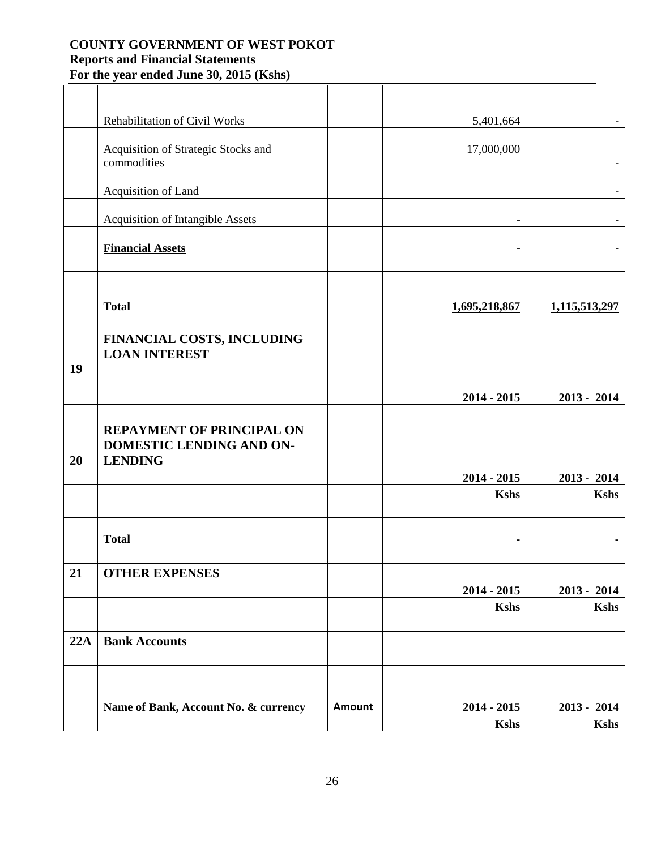|     | Rehabilitation of Civil Works                                                  |        | 5,401,664                    |                              |
|-----|--------------------------------------------------------------------------------|--------|------------------------------|------------------------------|
|     | Acquisition of Strategic Stocks and<br>commodities                             |        | 17,000,000                   |                              |
|     | Acquisition of Land                                                            |        |                              |                              |
|     | <b>Acquisition of Intangible Assets</b>                                        |        |                              |                              |
|     | <b>Financial Assets</b>                                                        |        | $\overline{a}$               |                              |
|     |                                                                                |        |                              |                              |
|     | <b>Total</b>                                                                   |        | 1,695,218,867                | 1,115,513,297                |
| 19  | FINANCIAL COSTS, INCLUDING<br><b>LOAN INTEREST</b>                             |        |                              |                              |
|     |                                                                                |        | $2014 - 2015$                | $2013 - 2014$                |
| 20  | <b>REPAYMENT OF PRINCIPAL ON</b><br>DOMESTIC LENDING AND ON-<br><b>LENDING</b> |        |                              |                              |
|     |                                                                                |        | $2014 - 2015$                | $2013 - 2014$                |
|     |                                                                                |        | <b>Kshs</b>                  | <b>Kshs</b>                  |
|     | <b>Total</b>                                                                   |        | ٠                            |                              |
| 21  | <b>OTHER EXPENSES</b>                                                          |        |                              |                              |
|     |                                                                                |        | $2014 - 2015$                | $2013 - 2014$                |
|     |                                                                                |        | <b>Kshs</b>                  | <b>Kshs</b>                  |
| 22A | <b>Bank Accounts</b>                                                           |        |                              |                              |
|     |                                                                                |        |                              |                              |
|     | Name of Bank, Account No. & currency                                           | Amount | $2014 - 2015$<br><b>Kshs</b> | $2013 - 2014$<br><b>Kshs</b> |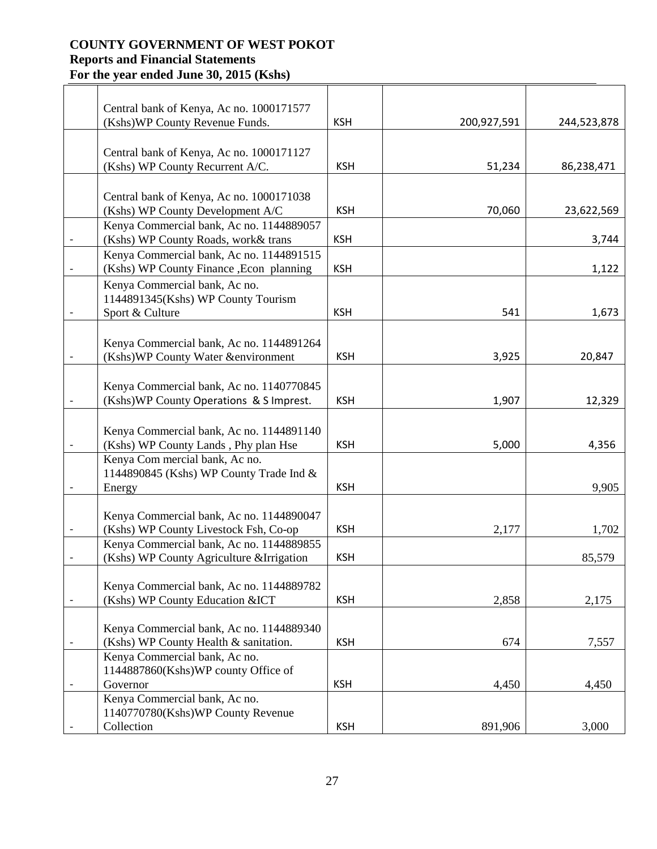| Central bank of Kenya, Ac no. 1000171577                                          | <b>KSH</b> |             |             |
|-----------------------------------------------------------------------------------|------------|-------------|-------------|
| (Kshs) WP County Revenue Funds.                                                   |            | 200,927,591 | 244,523,878 |
| Central bank of Kenya, Ac no. 1000171127                                          |            |             |             |
| (Kshs) WP County Recurrent A/C.                                                   | <b>KSH</b> | 51,234      | 86,238,471  |
|                                                                                   |            |             |             |
| Central bank of Kenya, Ac no. 1000171038                                          |            |             |             |
| (Kshs) WP County Development A/C                                                  | <b>KSH</b> | 70,060      | 23,622,569  |
| Kenya Commercial bank, Ac no. 1144889057                                          |            |             |             |
| (Kshs) WP County Roads, work& trans                                               | <b>KSH</b> |             | 3,744       |
| Kenya Commercial bank, Ac no. 1144891515                                          |            |             |             |
| (Kshs) WP County Finance , Econ planning                                          | <b>KSH</b> |             | 1,122       |
| Kenya Commercial bank, Ac no.                                                     |            |             |             |
| 1144891345(Kshs) WP County Tourism                                                |            |             |             |
| Sport & Culture                                                                   | <b>KSH</b> | 541         | 1,673       |
|                                                                                   |            |             |             |
| Kenya Commercial bank, Ac no. 1144891264<br>(Kshs)WP County Water &environment    | <b>KSH</b> | 3,925       | 20,847      |
|                                                                                   |            |             |             |
| Kenya Commercial bank, Ac no. 1140770845                                          |            |             |             |
| (Kshs)WP County Operations & S Imprest.                                           | <b>KSH</b> | 1,907       | 12,329      |
|                                                                                   |            |             |             |
| Kenya Commercial bank, Ac no. 1144891140                                          |            |             |             |
| (Kshs) WP County Lands, Phy plan Hse                                              | <b>KSH</b> | 5,000       | 4,356       |
| Kenya Com mercial bank, Ac no.                                                    |            |             |             |
| 1144890845 (Kshs) WP County Trade Ind &                                           |            |             |             |
| Energy                                                                            | <b>KSH</b> |             | 9,905       |
|                                                                                   |            |             |             |
| Kenya Commercial bank, Ac no. 1144890047                                          |            |             |             |
| (Kshs) WP County Livestock Fsh, Co-op<br>Kenya Commercial bank, Ac no. 1144889855 | <b>KSH</b> | 2,177       | 1,702       |
| (Kshs) WP County Agriculture & Irrigation                                         | <b>KSH</b> |             | 85,579      |
|                                                                                   |            |             |             |
| Kenya Commercial bank, Ac no. 1144889782                                          |            |             |             |
| (Kshs) WP County Education & ICT                                                  | <b>KSH</b> | 2,858       | 2,175       |
|                                                                                   |            |             |             |
| Kenya Commercial bank, Ac no. 1144889340                                          |            |             |             |
| (Kshs) WP County Health & sanitation.                                             | <b>KSH</b> | 674         | 7,557       |
| Kenya Commercial bank, Ac no.                                                     |            |             |             |
| 1144887860(Kshs)WP county Office of                                               |            |             |             |
| Governor<br>Kenya Commercial bank, Ac no.                                         | <b>KSH</b> | 4,450       | 4,450       |
| 1140770780(Kshs)WP County Revenue                                                 |            |             |             |
| Collection                                                                        | <b>KSH</b> | 891,906     | 3,000       |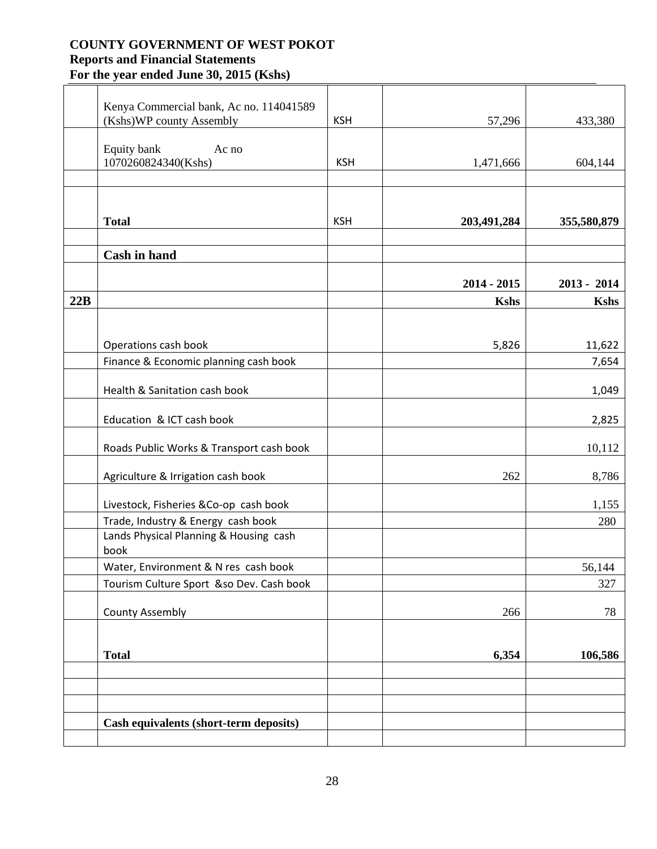|     | Kenya Commercial bank, Ac no. 114041589<br>(Kshs)WP county Assembly | <b>KSH</b> | 57,296                       | 433,380                      |
|-----|---------------------------------------------------------------------|------------|------------------------------|------------------------------|
|     |                                                                     |            |                              |                              |
|     | Equity bank<br>Ac no<br>1070260824340(Kshs)                         | <b>KSH</b> | 1,471,666                    | 604,144                      |
|     |                                                                     |            |                              |                              |
|     |                                                                     |            |                              |                              |
|     | <b>Total</b>                                                        | <b>KSH</b> | 203,491,284                  | 355,580,879                  |
|     |                                                                     |            |                              |                              |
|     | <b>Cash in hand</b>                                                 |            |                              |                              |
|     |                                                                     |            |                              |                              |
| 22B |                                                                     |            | $2014 - 2015$<br><b>Kshs</b> | $2013 - 2014$<br><b>Kshs</b> |
|     |                                                                     |            |                              |                              |
|     |                                                                     |            |                              |                              |
|     | Operations cash book                                                |            | 5,826                        | 11,622                       |
|     | Finance & Economic planning cash book                               |            |                              | 7,654                        |
|     | Health & Sanitation cash book                                       |            |                              | 1,049                        |
|     |                                                                     |            |                              |                              |
|     | Education & ICT cash book                                           |            |                              | 2,825                        |
|     | Roads Public Works & Transport cash book                            |            |                              | 10,112                       |
|     |                                                                     |            |                              |                              |
|     | Agriculture & Irrigation cash book                                  |            | 262                          | 8,786                        |
|     | Livestock, Fisheries &Co-op cash book                               |            |                              | 1,155                        |
|     | Trade, Industry & Energy cash book                                  |            |                              | 280                          |
|     | Lands Physical Planning & Housing cash<br>book                      |            |                              |                              |
|     | Water, Environment & N res cash book                                |            |                              | 56,144                       |
|     | Tourism Culture Sport &so Dev. Cash book                            |            |                              | 327                          |
|     | <b>County Assembly</b>                                              |            | 266                          | 78                           |
|     |                                                                     |            |                              |                              |
|     |                                                                     |            |                              |                              |
|     | <b>Total</b>                                                        |            | 6,354                        | 106,586                      |
|     |                                                                     |            |                              |                              |
|     |                                                                     |            |                              |                              |
|     | Cash equivalents (short-term deposits)                              |            |                              |                              |
|     |                                                                     |            |                              |                              |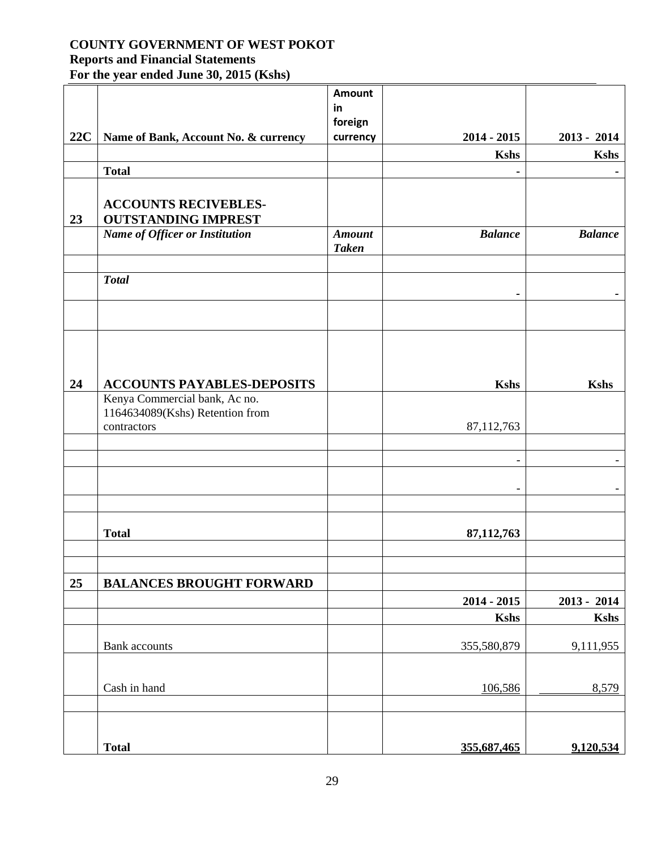# **COUNTY GOVERNMENT OF WEST POKOT**

# **Reports and Financial Statements**

**For the year ended June 30, 2015 (Kshs)**

|     |                                       | <b>Amount</b> |                          |                |
|-----|---------------------------------------|---------------|--------------------------|----------------|
|     |                                       | in            |                          |                |
|     |                                       | foreign       |                          |                |
| 22C | Name of Bank, Account No. & currency  | currency      | $2014 - 2015$            | $2013 - 2014$  |
|     |                                       |               | <b>Kshs</b>              | <b>Kshs</b>    |
|     | <b>Total</b>                          |               |                          |                |
|     |                                       |               |                          |                |
|     | <b>ACCOUNTS RECIVEBLES-</b>           |               |                          |                |
| 23  | <b>OUTSTANDING IMPREST</b>            |               |                          |                |
|     | <b>Name of Officer or Institution</b> | <b>Amount</b> | <b>Balance</b>           | <b>Balance</b> |
|     |                                       | <b>Taken</b>  |                          |                |
|     |                                       |               |                          |                |
|     | <b>Total</b>                          |               |                          |                |
|     |                                       |               | $\blacksquare$           |                |
|     |                                       |               |                          |                |
|     |                                       |               |                          |                |
|     |                                       |               |                          |                |
|     |                                       |               |                          |                |
| 24  | <b>ACCOUNTS PAYABLES-DEPOSITS</b>     |               | <b>Kshs</b>              | <b>Kshs</b>    |
|     | Kenya Commercial bank, Ac no.         |               |                          |                |
|     | 1164634089(Kshs) Retention from       |               |                          |                |
|     | contractors                           |               | 87,112,763               |                |
|     |                                       |               |                          |                |
|     |                                       |               | $\overline{\phantom{0}}$ |                |
|     |                                       |               |                          |                |
|     |                                       |               |                          |                |
|     |                                       |               |                          |                |
|     |                                       |               |                          |                |
|     | <b>Total</b>                          |               | 87,112,763               |                |
|     |                                       |               |                          |                |
|     |                                       |               |                          |                |
| 25  | <b>BALANCES BROUGHT FORWARD</b>       |               |                          |                |
|     |                                       |               | $2014 - 2015$            | 2013 - 2014    |
|     |                                       |               | <b>Kshs</b>              | <b>Kshs</b>    |
|     |                                       |               |                          |                |
|     | <b>Bank</b> accounts                  |               | 355,580,879              | 9,111,955      |
|     |                                       |               |                          |                |
|     | Cash in hand                          |               | 106,586                  | 8,579          |
|     |                                       |               |                          |                |
|     |                                       |               |                          |                |
|     |                                       |               |                          |                |
|     | <b>Total</b>                          |               | 355,687,465              | 9,120,534      |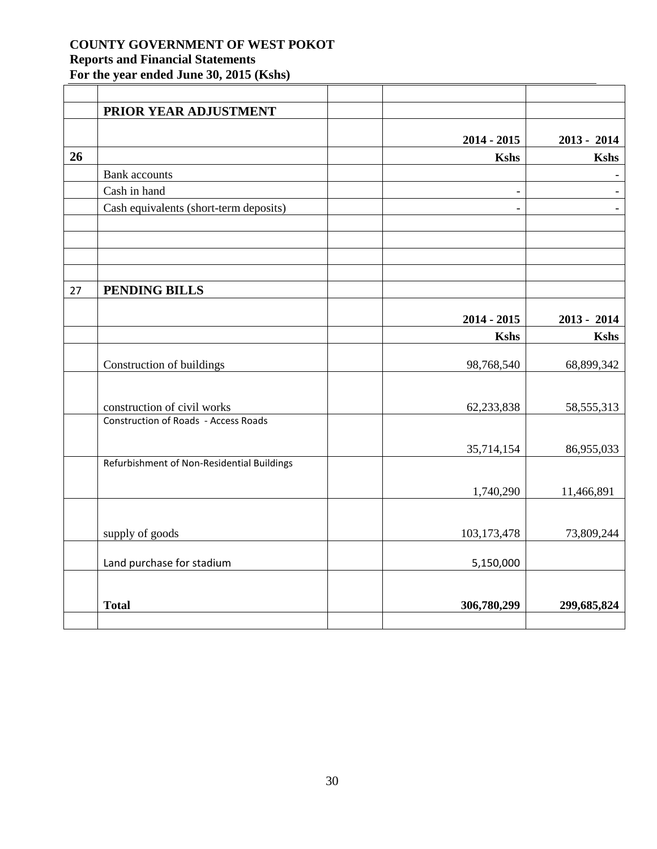|    | PRIOR YEAR ADJUSTMENT                       |                          |               |
|----|---------------------------------------------|--------------------------|---------------|
|    |                                             |                          |               |
|    |                                             | $2014 - 2015$            | $2013 - 2014$ |
| 26 |                                             | <b>Kshs</b>              | <b>Kshs</b>   |
|    | <b>Bank</b> accounts                        |                          |               |
|    | Cash in hand                                | $\overline{\phantom{0}}$ |               |
|    | Cash equivalents (short-term deposits)      | $\blacksquare$           |               |
|    |                                             |                          |               |
|    |                                             |                          |               |
| 27 | PENDING BILLS                               |                          |               |
|    |                                             | $2014 - 2015$            | $2013 - 2014$ |
|    |                                             | <b>Kshs</b>              | <b>Kshs</b>   |
|    |                                             |                          |               |
|    | Construction of buildings                   | 98,768,540               | 68,899,342    |
|    | construction of civil works                 | 62,233,838               | 58, 555, 313  |
|    | <b>Construction of Roads - Access Roads</b> |                          |               |
|    |                                             | 35,714,154               | 86,955,033    |
|    | Refurbishment of Non-Residential Buildings  |                          |               |
|    |                                             | 1,740,290                | 11,466,891    |
|    |                                             |                          |               |
|    | supply of goods                             | 103,173,478              | 73,809,244    |
|    | Land purchase for stadium                   | 5,150,000                |               |
|    |                                             |                          |               |
|    | <b>Total</b>                                | 306,780,299              | 299,685,824   |
|    |                                             |                          |               |